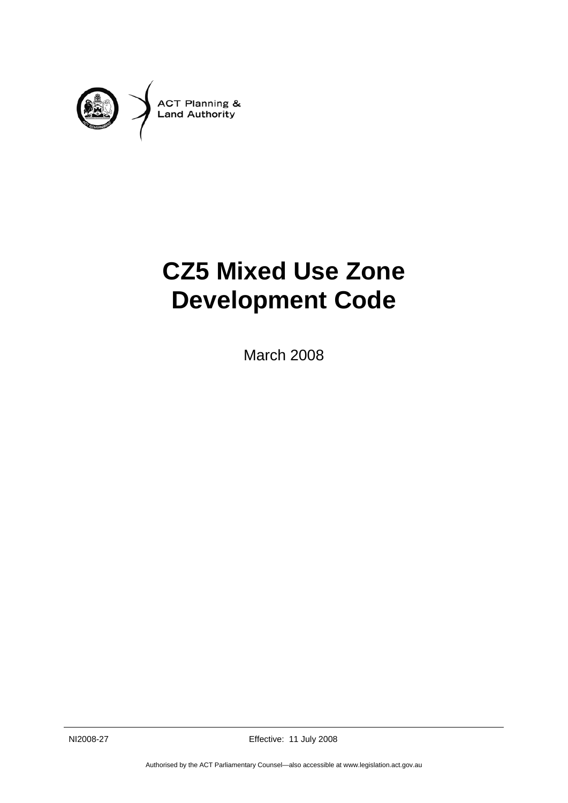

# **CZ5 Mixed Use Zone Development Code**

March 2008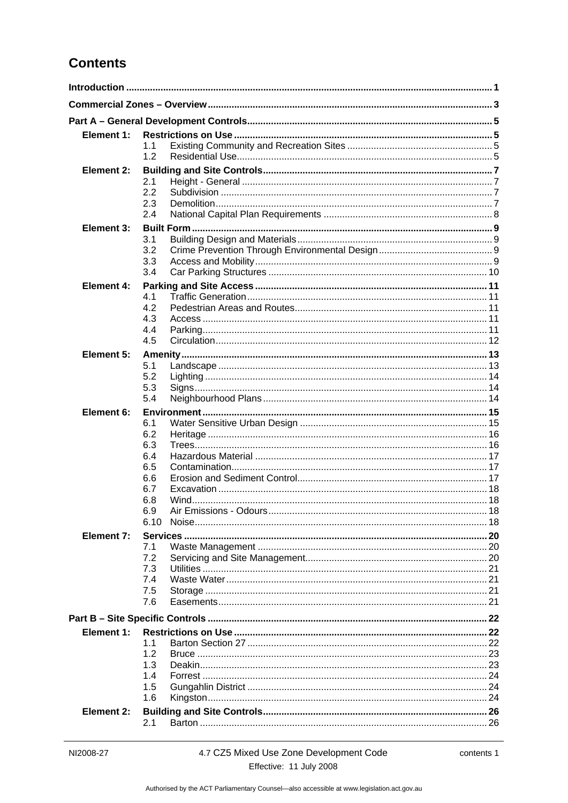## **Contents**

| Element 1:        |            |  |
|-------------------|------------|--|
|                   | 1.1        |  |
|                   | 1.2        |  |
| <b>Element 2:</b> |            |  |
|                   | 2.1        |  |
|                   | 2.2        |  |
|                   | 2.3<br>2.4 |  |
| Element 3:        |            |  |
|                   | 3.1        |  |
|                   | 3.2        |  |
|                   | 3.3        |  |
|                   | 3.4        |  |
| Element 4:        |            |  |
|                   | 4.1        |  |
|                   | 4.2        |  |
|                   | 4.3<br>4.4 |  |
|                   | 4.5        |  |
| Element 5:        |            |  |
|                   | 5.1        |  |
|                   | 5.2        |  |
|                   | 5.3        |  |
|                   | 5.4        |  |
| Element 6:        |            |  |
|                   | 6.1        |  |
|                   | 6.2<br>6.3 |  |
|                   | 6.4        |  |
|                   | 6.5        |  |
|                   | 6.6        |  |
|                   | 6.7        |  |
|                   | 6.8        |  |
|                   | 6.9        |  |
|                   | 6.10       |  |
| Element 7:        |            |  |
|                   | 7.1<br>7.2 |  |
|                   | 7.3        |  |
|                   | 7.4        |  |
|                   | 7.5        |  |
|                   | 7.6        |  |
|                   |            |  |
| Element 1:        |            |  |
|                   | 11         |  |
|                   | 1.2        |  |
|                   | 1.3        |  |
|                   | 1.4<br>1.5 |  |
|                   | 1.6        |  |
| <b>Element 2:</b> |            |  |
|                   | 2.1        |  |
|                   |            |  |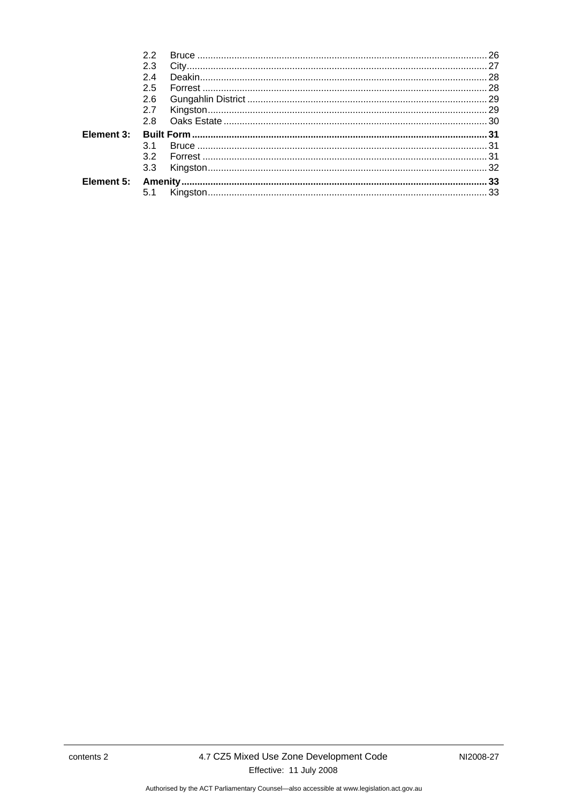| 22  |  |
|-----|--|
| 2.3 |  |
| 24  |  |
| 2.5 |  |
| 2.6 |  |
| 2.7 |  |
|     |  |
|     |  |
| 31  |  |
| 32  |  |
| 3.3 |  |
|     |  |
| 5.1 |  |
|     |  |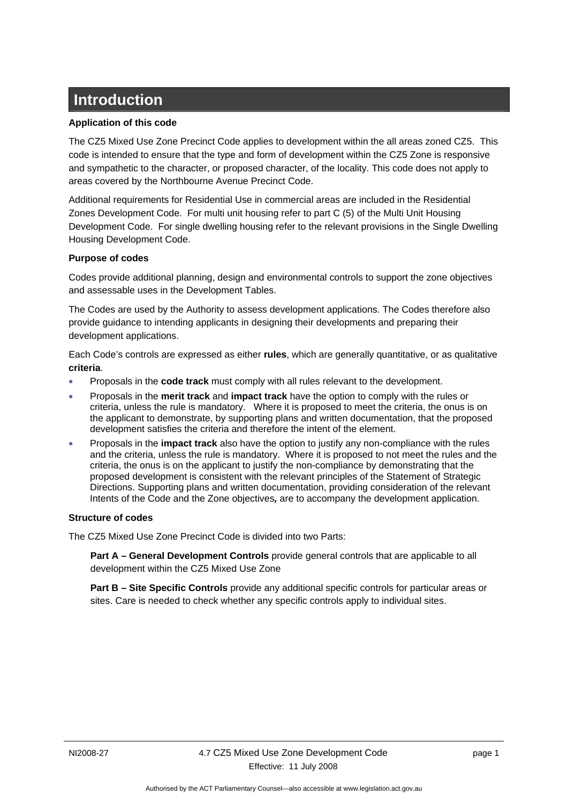## <span id="page-4-0"></span>**Introduction**

#### **Application of this code**

The CZ5 Mixed Use Zone Precinct Code applies to development within the all areas zoned CZ5. This code is intended to ensure that the type and form of development within the CZ5 Zone is responsive and sympathetic to the character, or proposed character, of the locality. This code does not apply to areas covered by the Northbourne Avenue Precinct Code.

Additional requirements for Residential Use in commercial areas are included in the Residential Zones Development Code. For multi unit housing refer to part C (5) of the Multi Unit Housing Development Code. For single dwelling housing refer to the relevant provisions in the Single Dwelling Housing Development Code.

#### **Purpose of codes**

Codes provide additional planning, design and environmental controls to support the zone objectives and assessable uses in the Development Tables.

The Codes are used by the Authority to assess development applications. The Codes therefore also provide guidance to intending applicants in designing their developments and preparing their development applications.

Each Code's controls are expressed as either **rules**, which are generally quantitative, or as qualitative **criteria**.

- Proposals in the **code track** must comply with all rules relevant to the development.
- Proposals in the **merit track** and **impact track** have the option to comply with the rules or criteria, unless the rule is mandatory. Where it is proposed to meet the criteria, the onus is on the applicant to demonstrate, by supporting plans and written documentation, that the proposed development satisfies the criteria and therefore the intent of the element.
- Proposals in the **impact track** also have the option to justify any non-compliance with the rules and the criteria, unless the rule is mandatory. Where it is proposed to not meet the rules and the criteria, the onus is on the applicant to justify the non-compliance by demonstrating that the proposed development is consistent with the relevant principles of the Statement of Strategic Directions. Supporting plans and written documentation, providing consideration of the relevant Intents of the Code and the Zone objectives*,* are to accompany the development application.

#### **Structure of codes**

The CZ5 Mixed Use Zone Precinct Code is divided into two Parts:

**Part A – General Development Controls** provide general controls that are applicable to all development within the CZ5 Mixed Use Zone

**Part B – Site Specific Controls** provide any additional specific controls for particular areas or sites. Care is needed to check whether any specific controls apply to individual sites.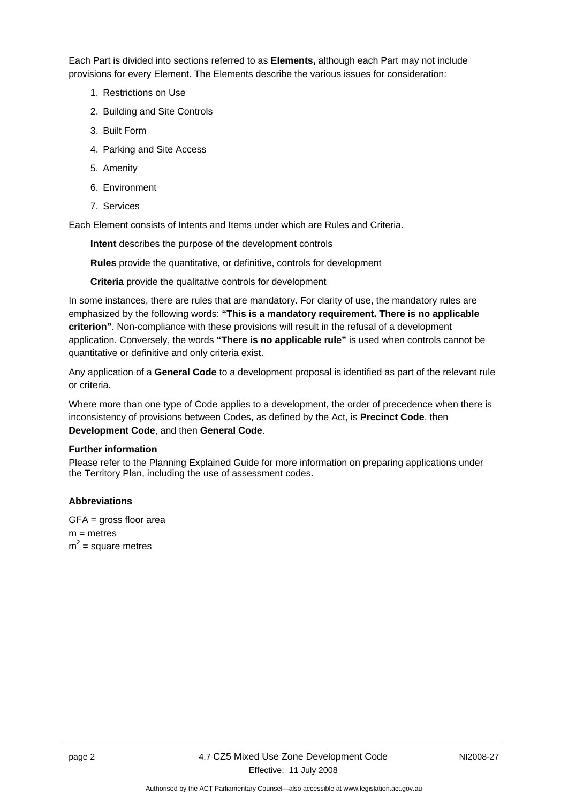Each Part is divided into sections referred to as **Elements,** although each Part may not include provisions for every Element. The Elements describe the various issues for consideration:

- 1. Restrictions on Use
- 2. Building and Site Controls
- 3. Built Form
- 4. Parking and Site Access
- 5. Amenity
- 6. Environment
- 7. Services

Each Element consists of Intents and Items under which are Rules and Criteria.

**Intent** describes the purpose of the development controls

**Rules** provide the quantitative, or definitive, controls for development

**Criteria** provide the qualitative controls for development

In some instances, there are rules that are mandatory. For clarity of use, the mandatory rules are emphasized by the following words: **"This is a mandatory requirement. There is no applicable criterion"**. Non-compliance with these provisions will result in the refusal of a development application. Conversely, the words **"There is no applicable rule"** is used when controls cannot be quantitative or definitive and only criteria exist.

Any application of a **General Code** to a development proposal is identified as part of the relevant rule or criteria.

Where more than one type of Code applies to a development, the order of precedence when there is inconsistency of provisions between Codes, as defined by the Act, is **Precinct Code**, then **Development Code**, and then **General Code**.

#### **Further information**

Please refer to the Planning Explained Guide for more information on preparing applications under the Territory Plan, including the use of assessment codes.

#### **Abbreviations**

GFA = gross floor area  $m =$  metres  $m^2$  = square metres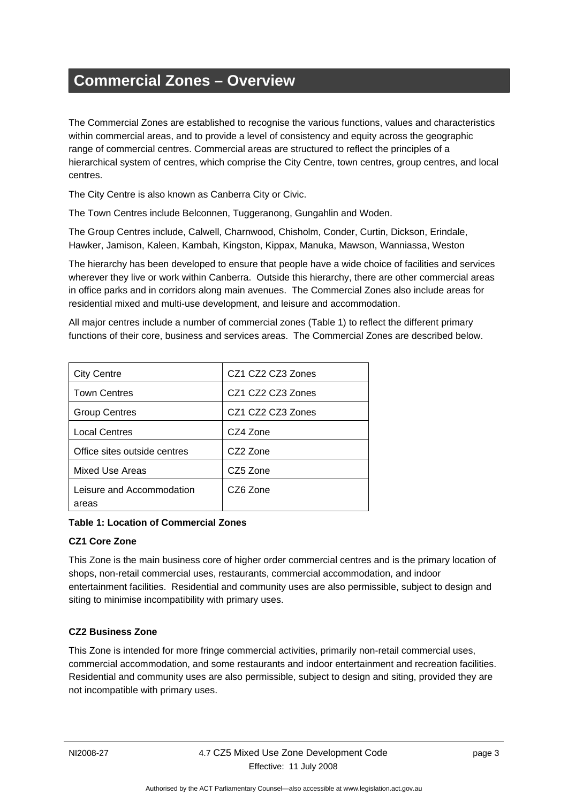## <span id="page-6-0"></span>**Commercial Zones – Overview**

The Commercial Zones are established to recognise the various functions, values and characteristics within commercial areas, and to provide a level of consistency and equity across the geographic range of commercial centres. Commercial areas are structured to reflect the principles of a hierarchical system of centres, which comprise the City Centre, town centres, group centres, and local centres.

The City Centre is also known as Canberra City or Civic.

The Town Centres include Belconnen, Tuggeranong, Gungahlin and Woden.

The Group Centres include, Calwell, Charnwood, Chisholm, Conder, Curtin, Dickson, Erindale, Hawker, Jamison, Kaleen, Kambah, Kingston, Kippax, Manuka, Mawson, Wanniassa, Weston

The hierarchy has been developed to ensure that people have a wide choice of facilities and services wherever they live or work within Canberra. Outside this hierarchy, there are other commercial areas in office parks and in corridors along main avenues. The Commercial Zones also include areas for residential mixed and multi-use development, and leisure and accommodation.

All major centres include a number of commercial zones (Table 1) to reflect the different primary functions of their core, business and services areas. The Commercial Zones are described below.

| <b>City Centre</b>                 | CZ1 CZ2 CZ3 Zones |
|------------------------------------|-------------------|
| <b>Town Centres</b>                | CZ1 CZ2 CZ3 Zones |
| <b>Group Centres</b>               | CZ1 CZ2 CZ3 Zones |
| <b>Local Centres</b>               | CZ4 Zone          |
| Office sites outside centres       | CZ2 Zone          |
| Mixed Use Areas                    | CZ5 Zone          |
| Leisure and Accommodation<br>areas | CZ6 Zone          |

**Table 1: Location of Commercial Zones** 

#### **CZ1 Core Zone**

This Zone is the main business core of higher order commercial centres and is the primary location of shops, non-retail commercial uses, restaurants, commercial accommodation, and indoor entertainment facilities. Residential and community uses are also permissible, subject to design and siting to minimise incompatibility with primary uses.

#### **CZ2 Business Zone**

This Zone is intended for more fringe commercial activities, primarily non-retail commercial uses, commercial accommodation, and some restaurants and indoor entertainment and recreation facilities. Residential and community uses are also permissible, subject to design and siting, provided they are not incompatible with primary uses.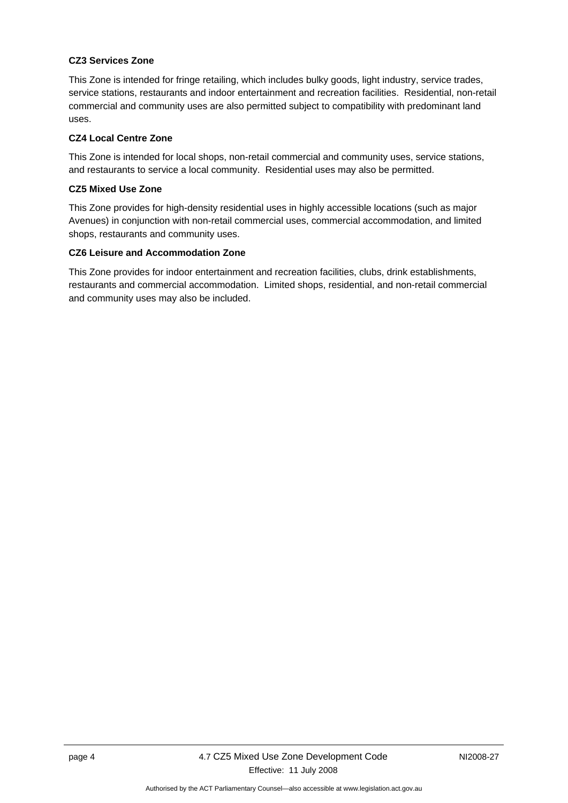#### **CZ3 Services Zone**

This Zone is intended for fringe retailing, which includes bulky goods, light industry, service trades, service stations, restaurants and indoor entertainment and recreation facilities. Residential, non-retail commercial and community uses are also permitted subject to compatibility with predominant land uses.

#### **CZ4 Local Centre Zone**

This Zone is intended for local shops, non-retail commercial and community uses, service stations, and restaurants to service a local community. Residential uses may also be permitted.

#### **CZ5 Mixed Use Zone**

This Zone provides for high-density residential uses in highly accessible locations (such as major Avenues) in conjunction with non-retail commercial uses, commercial accommodation, and limited shops, restaurants and community uses.

#### **CZ6 Leisure and Accommodation Zone**

This Zone provides for indoor entertainment and recreation facilities, clubs, drink establishments, restaurants and commercial accommodation. Limited shops, residential, and non-retail commercial and community uses may also be included.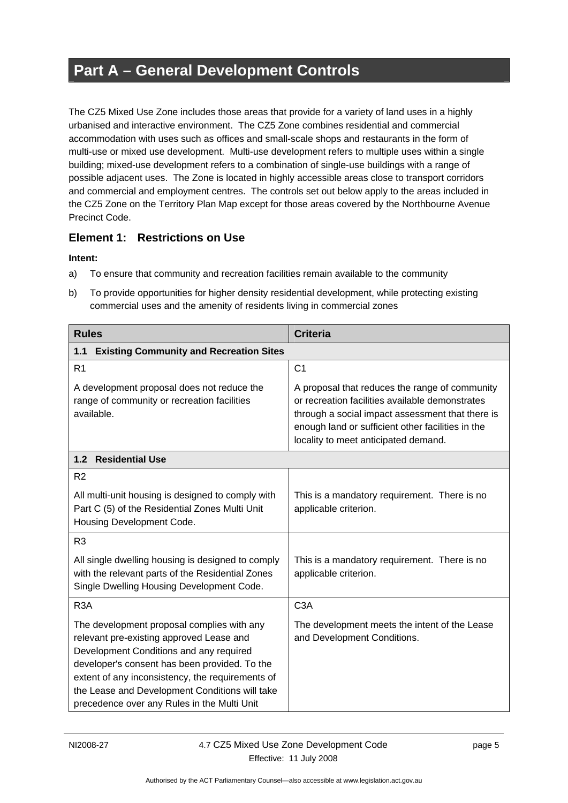## <span id="page-8-0"></span>**Part A – General Development Controls**

The CZ5 Mixed Use Zone includes those areas that provide for a variety of land uses in a highly urbanised and interactive environment. The CZ5 Zone combines residential and commercial accommodation with uses such as offices and small-scale shops and restaurants in the form of multi-use or mixed use development. Multi-use development refers to multiple uses within a single building; mixed-use development refers to a combination of single-use buildings with a range of possible adjacent uses. The Zone is located in highly accessible areas close to transport corridors and commercial and employment centres. The controls set out below apply to the areas included in the CZ5 Zone on the Territory Plan Map except for those areas covered by the Northbourne Avenue Precinct Code.

### **Element 1: Restrictions on Use**

- a) To ensure that community and recreation facilities remain available to the community
- b) To provide opportunities for higher density residential development, while protecting existing commercial uses and the amenity of residents living in commercial zones

| <b>Rules</b>                                                                                                                                                                                                                                                                                                                            | <b>Criteria</b>                                                                                                                                                                                                                                    |
|-----------------------------------------------------------------------------------------------------------------------------------------------------------------------------------------------------------------------------------------------------------------------------------------------------------------------------------------|----------------------------------------------------------------------------------------------------------------------------------------------------------------------------------------------------------------------------------------------------|
| <b>Existing Community and Recreation Sites</b><br>1.1                                                                                                                                                                                                                                                                                   |                                                                                                                                                                                                                                                    |
| R <sub>1</sub>                                                                                                                                                                                                                                                                                                                          | C <sub>1</sub>                                                                                                                                                                                                                                     |
| A development proposal does not reduce the<br>range of community or recreation facilities<br>available.                                                                                                                                                                                                                                 | A proposal that reduces the range of community<br>or recreation facilities available demonstrates<br>through a social impact assessment that there is<br>enough land or sufficient other facilities in the<br>locality to meet anticipated demand. |
| <b>Residential Use</b><br>1.2                                                                                                                                                                                                                                                                                                           |                                                                                                                                                                                                                                                    |
| R <sub>2</sub>                                                                                                                                                                                                                                                                                                                          |                                                                                                                                                                                                                                                    |
| All multi-unit housing is designed to comply with<br>Part C (5) of the Residential Zones Multi Unit<br>Housing Development Code.                                                                                                                                                                                                        | This is a mandatory requirement. There is no<br>applicable criterion.                                                                                                                                                                              |
| R <sub>3</sub>                                                                                                                                                                                                                                                                                                                          |                                                                                                                                                                                                                                                    |
| All single dwelling housing is designed to comply<br>with the relevant parts of the Residential Zones<br>Single Dwelling Housing Development Code.                                                                                                                                                                                      | This is a mandatory requirement. There is no<br>applicable criterion.                                                                                                                                                                              |
| R <sub>3</sub> A                                                                                                                                                                                                                                                                                                                        | C <sub>3</sub> A                                                                                                                                                                                                                                   |
| The development proposal complies with any<br>relevant pre-existing approved Lease and<br>Development Conditions and any required<br>developer's consent has been provided. To the<br>extent of any inconsistency, the requirements of<br>the Lease and Development Conditions will take<br>precedence over any Rules in the Multi Unit | The development meets the intent of the Lease<br>and Development Conditions.                                                                                                                                                                       |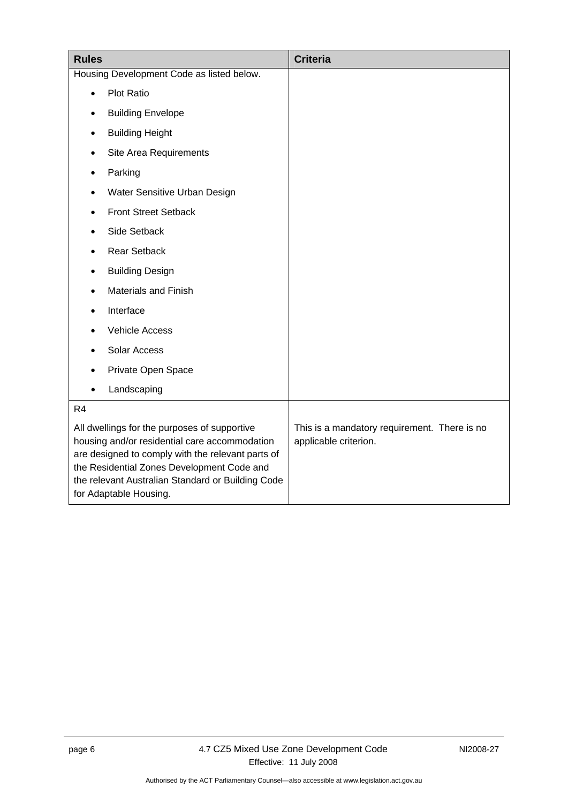| <b>Rules</b>                                                                                                                                                                                                                                                                    |                              | <b>Criteria</b>                                                       |
|---------------------------------------------------------------------------------------------------------------------------------------------------------------------------------------------------------------------------------------------------------------------------------|------------------------------|-----------------------------------------------------------------------|
| Housing Development Code as listed below.                                                                                                                                                                                                                                       |                              |                                                                       |
| $\bullet$                                                                                                                                                                                                                                                                       | Plot Ratio                   |                                                                       |
|                                                                                                                                                                                                                                                                                 | <b>Building Envelope</b>     |                                                                       |
|                                                                                                                                                                                                                                                                                 | <b>Building Height</b>       |                                                                       |
|                                                                                                                                                                                                                                                                                 | Site Area Requirements       |                                                                       |
|                                                                                                                                                                                                                                                                                 | Parking                      |                                                                       |
|                                                                                                                                                                                                                                                                                 | Water Sensitive Urban Design |                                                                       |
|                                                                                                                                                                                                                                                                                 | <b>Front Street Setback</b>  |                                                                       |
|                                                                                                                                                                                                                                                                                 | Side Setback                 |                                                                       |
|                                                                                                                                                                                                                                                                                 | <b>Rear Setback</b>          |                                                                       |
| $\bullet$                                                                                                                                                                                                                                                                       | <b>Building Design</b>       |                                                                       |
|                                                                                                                                                                                                                                                                                 | <b>Materials and Finish</b>  |                                                                       |
|                                                                                                                                                                                                                                                                                 | Interface                    |                                                                       |
|                                                                                                                                                                                                                                                                                 | <b>Vehicle Access</b>        |                                                                       |
|                                                                                                                                                                                                                                                                                 | Solar Access                 |                                                                       |
|                                                                                                                                                                                                                                                                                 | Private Open Space           |                                                                       |
|                                                                                                                                                                                                                                                                                 | Landscaping                  |                                                                       |
| R4                                                                                                                                                                                                                                                                              |                              |                                                                       |
| All dwellings for the purposes of supportive<br>housing and/or residential care accommodation<br>are designed to comply with the relevant parts of<br>the Residential Zones Development Code and<br>the relevant Australian Standard or Building Code<br>for Adaptable Housing. |                              | This is a mandatory requirement. There is no<br>applicable criterion. |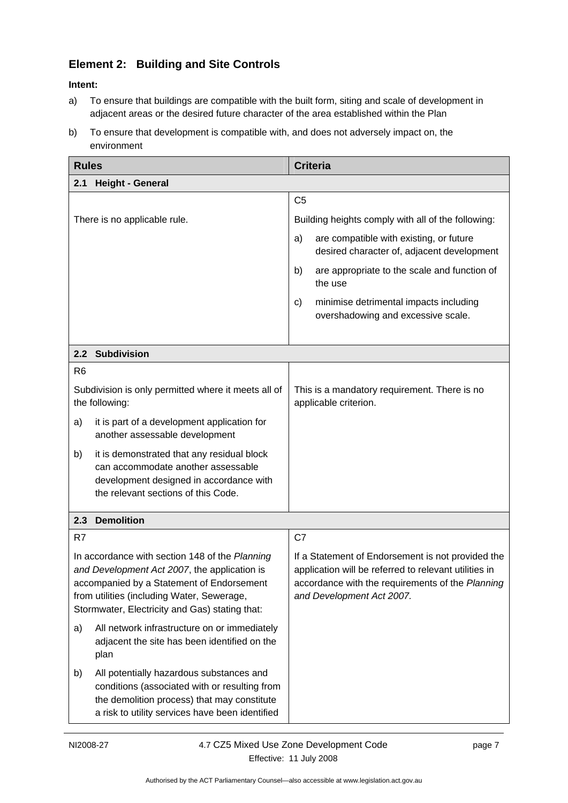## <span id="page-10-0"></span>**Element 2: Building and Site Controls**

- a) To ensure that buildings are compatible with the built form, siting and scale of development in adjacent areas or the desired future character of the area established within the Plan
- b) To ensure that development is compatible with, and does not adversely impact on, the environment

| <b>Rules</b>                                                                                                                                                                                                                                |                                                                                                                                                                                             | <b>Criteria</b> |                                                                                                                                                                                             |
|---------------------------------------------------------------------------------------------------------------------------------------------------------------------------------------------------------------------------------------------|---------------------------------------------------------------------------------------------------------------------------------------------------------------------------------------------|-----------------|---------------------------------------------------------------------------------------------------------------------------------------------------------------------------------------------|
| 2.1                                                                                                                                                                                                                                         | <b>Height - General</b>                                                                                                                                                                     |                 |                                                                                                                                                                                             |
|                                                                                                                                                                                                                                             |                                                                                                                                                                                             | C <sub>5</sub>  |                                                                                                                                                                                             |
|                                                                                                                                                                                                                                             | There is no applicable rule.                                                                                                                                                                |                 | Building heights comply with all of the following:                                                                                                                                          |
|                                                                                                                                                                                                                                             |                                                                                                                                                                                             | a)              | are compatible with existing, or future<br>desired character of, adjacent development                                                                                                       |
|                                                                                                                                                                                                                                             |                                                                                                                                                                                             | b)              | are appropriate to the scale and function of<br>the use                                                                                                                                     |
|                                                                                                                                                                                                                                             |                                                                                                                                                                                             | C)              | minimise detrimental impacts including<br>overshadowing and excessive scale.                                                                                                                |
|                                                                                                                                                                                                                                             |                                                                                                                                                                                             |                 |                                                                                                                                                                                             |
|                                                                                                                                                                                                                                             | 2.2 Subdivision                                                                                                                                                                             |                 |                                                                                                                                                                                             |
| R <sub>6</sub>                                                                                                                                                                                                                              |                                                                                                                                                                                             |                 |                                                                                                                                                                                             |
|                                                                                                                                                                                                                                             | Subdivision is only permitted where it meets all of<br>the following:                                                                                                                       |                 | This is a mandatory requirement. There is no<br>applicable criterion.                                                                                                                       |
| a)                                                                                                                                                                                                                                          | it is part of a development application for<br>another assessable development                                                                                                               |                 |                                                                                                                                                                                             |
| b)                                                                                                                                                                                                                                          | it is demonstrated that any residual block<br>can accommodate another assessable<br>development designed in accordance with<br>the relevant sections of this Code.                          |                 |                                                                                                                                                                                             |
| 2.3                                                                                                                                                                                                                                         | <b>Demolition</b>                                                                                                                                                                           |                 |                                                                                                                                                                                             |
| R7                                                                                                                                                                                                                                          |                                                                                                                                                                                             | C7              |                                                                                                                                                                                             |
| In accordance with section 148 of the Planning<br>and Development Act 2007, the application is<br>accompanied by a Statement of Endorsement<br>from utilities (including Water, Sewerage,<br>Stormwater, Electricity and Gas) stating that: |                                                                                                                                                                                             |                 | If a Statement of Endorsement is not provided the<br>application will be referred to relevant utilities in<br>accordance with the requirements of the Planning<br>and Development Act 2007. |
| a)                                                                                                                                                                                                                                          | All network infrastructure on or immediately<br>adjacent the site has been identified on the<br>plan                                                                                        |                 |                                                                                                                                                                                             |
| b)                                                                                                                                                                                                                                          | All potentially hazardous substances and<br>conditions (associated with or resulting from<br>the demolition process) that may constitute<br>a risk to utility services have been identified |                 |                                                                                                                                                                                             |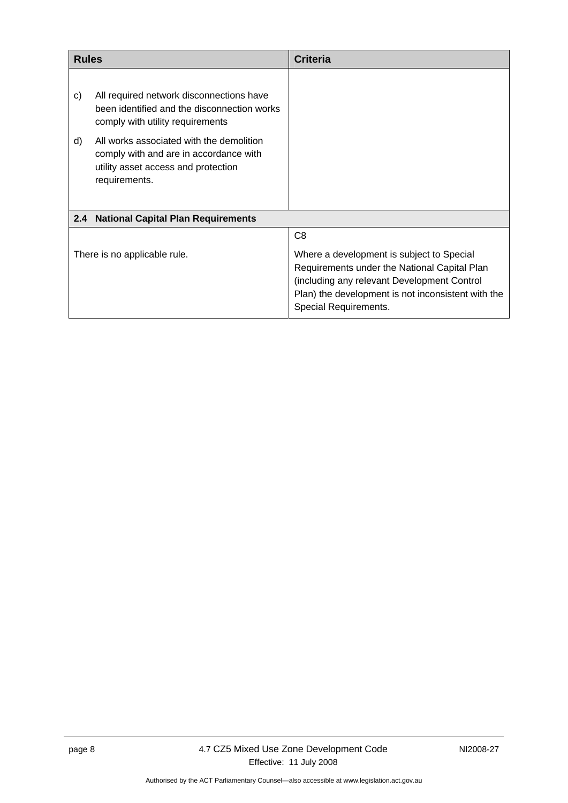<span id="page-11-0"></span>

| <b>Rules</b>                 |                                                                                                                                            | <b>Criteria</b>                                                                                                                                                                                                         |
|------------------------------|--------------------------------------------------------------------------------------------------------------------------------------------|-------------------------------------------------------------------------------------------------------------------------------------------------------------------------------------------------------------------------|
| C)                           | All required network disconnections have<br>been identified and the disconnection works<br>comply with utility requirements                |                                                                                                                                                                                                                         |
| d)                           | All works associated with the demolition<br>comply with and are in accordance with<br>utility asset access and protection<br>requirements. |                                                                                                                                                                                                                         |
| 2.4                          | <b>National Capital Plan Requirements</b>                                                                                                  |                                                                                                                                                                                                                         |
|                              |                                                                                                                                            | C <sub>8</sub>                                                                                                                                                                                                          |
| There is no applicable rule. |                                                                                                                                            | Where a development is subject to Special<br>Requirements under the National Capital Plan<br>(including any relevant Development Control<br>Plan) the development is not inconsistent with the<br>Special Requirements. |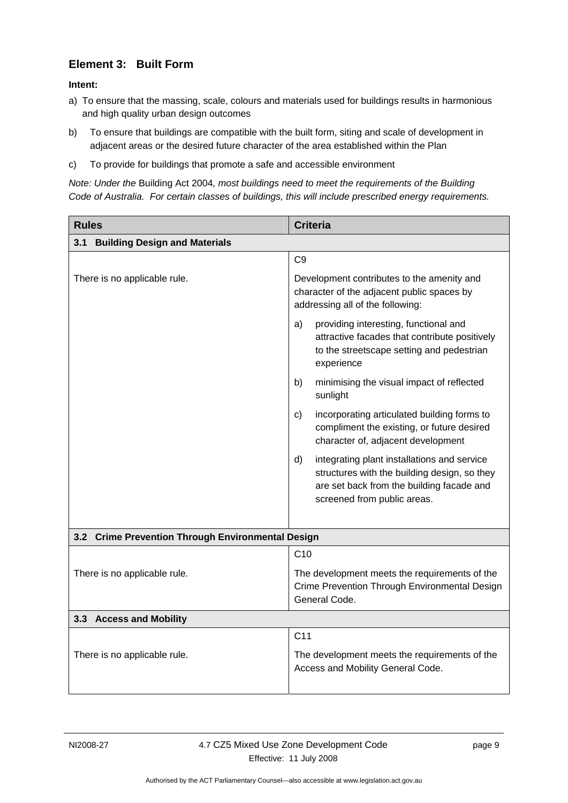### <span id="page-12-0"></span>**Element 3: Built Form**

#### **Intent:**

- a) To ensure that the massing, scale, colours and materials used for buildings results in harmonious and high quality urban design outcomes
- b) To ensure that buildings are compatible with the built form, siting and scale of development in adjacent areas or the desired future character of the area established within the Plan
- c) To provide for buildings that promote a safe and accessible environment

*Note: Under the* Building Act 2004*, most buildings need to meet the requirements of the Building Code of Australia. For certain classes of buildings, this will include prescribed energy requirements.* 

| <b>Rules</b>                                      | <b>Criteria</b>                                                                                                                                                               |  |
|---------------------------------------------------|-------------------------------------------------------------------------------------------------------------------------------------------------------------------------------|--|
| 3.1<br><b>Building Design and Materials</b>       |                                                                                                                                                                               |  |
|                                                   | C <sub>9</sub>                                                                                                                                                                |  |
| There is no applicable rule.                      | Development contributes to the amenity and<br>character of the adjacent public spaces by<br>addressing all of the following:                                                  |  |
|                                                   | a)<br>providing interesting, functional and<br>attractive facades that contribute positively<br>to the streetscape setting and pedestrian<br>experience                       |  |
|                                                   | minimising the visual impact of reflected<br>b)<br>sunlight                                                                                                                   |  |
|                                                   | incorporating articulated building forms to<br>C)<br>compliment the existing, or future desired<br>character of, adjacent development                                         |  |
|                                                   | d)<br>integrating plant installations and service<br>structures with the building design, so they<br>are set back from the building facade and<br>screened from public areas. |  |
| 3.2 Crime Prevention Through Environmental Design |                                                                                                                                                                               |  |
|                                                   | C10                                                                                                                                                                           |  |
| There is no applicable rule.                      | The development meets the requirements of the<br>Crime Prevention Through Environmental Design<br>General Code.                                                               |  |
| 3.3 Access and Mobility                           |                                                                                                                                                                               |  |
|                                                   | C <sub>11</sub>                                                                                                                                                               |  |
| There is no applicable rule.                      | The development meets the requirements of the<br>Access and Mobility General Code.                                                                                            |  |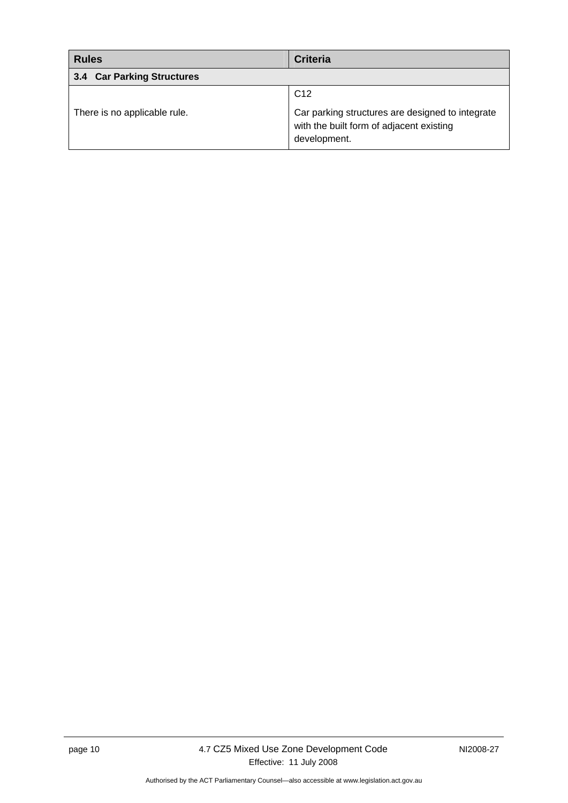<span id="page-13-0"></span>

| <b>Rules</b>                 | <b>Criteria</b>                                                                                              |  |
|------------------------------|--------------------------------------------------------------------------------------------------------------|--|
| 3.4 Car Parking Structures   |                                                                                                              |  |
|                              | C <sub>12</sub>                                                                                              |  |
| There is no applicable rule. | Car parking structures are designed to integrate<br>with the built form of adjacent existing<br>development. |  |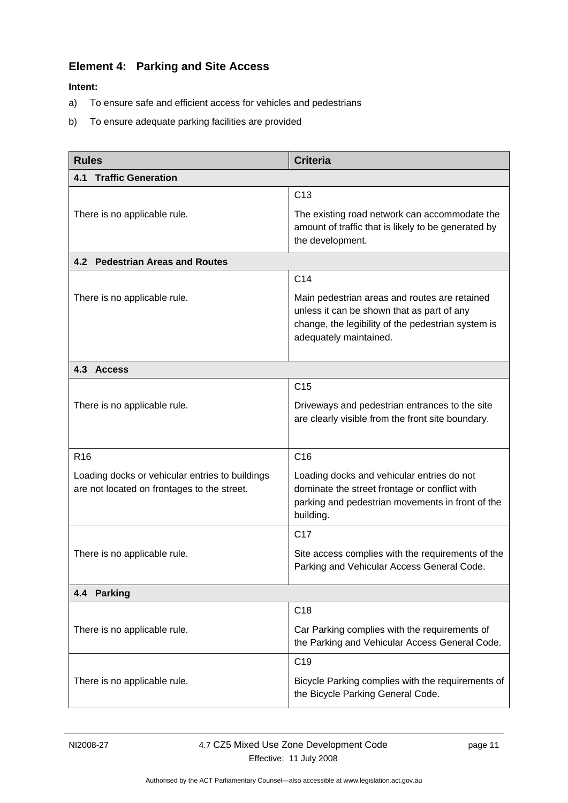## <span id="page-14-0"></span>**Element 4: Parking and Site Access**

- a) To ensure safe and efficient access for vehicles and pedestrians
- b) To ensure adequate parking facilities are provided

| <b>Rules</b>                                                                                   | <b>Criteria</b>                                                                                                                                                             |  |  |
|------------------------------------------------------------------------------------------------|-----------------------------------------------------------------------------------------------------------------------------------------------------------------------------|--|--|
| <b>Traffic Generation</b><br>4.1                                                               |                                                                                                                                                                             |  |  |
|                                                                                                | C <sub>13</sub>                                                                                                                                                             |  |  |
| There is no applicable rule.                                                                   | The existing road network can accommodate the<br>amount of traffic that is likely to be generated by<br>the development.                                                    |  |  |
| 4.2 Pedestrian Areas and Routes                                                                |                                                                                                                                                                             |  |  |
|                                                                                                | C <sub>14</sub>                                                                                                                                                             |  |  |
| There is no applicable rule.                                                                   | Main pedestrian areas and routes are retained<br>unless it can be shown that as part of any<br>change, the legibility of the pedestrian system is<br>adequately maintained. |  |  |
| 4.3 Access                                                                                     |                                                                                                                                                                             |  |  |
|                                                                                                | C <sub>15</sub>                                                                                                                                                             |  |  |
| There is no applicable rule.                                                                   | Driveways and pedestrian entrances to the site<br>are clearly visible from the front site boundary.                                                                         |  |  |
| R <sub>16</sub>                                                                                | C16                                                                                                                                                                         |  |  |
| Loading docks or vehicular entries to buildings<br>are not located on frontages to the street. | Loading docks and vehicular entries do not<br>dominate the street frontage or conflict with<br>parking and pedestrian movements in front of the<br>building.                |  |  |
|                                                                                                | C <sub>17</sub>                                                                                                                                                             |  |  |
| There is no applicable rule.                                                                   | Site access complies with the requirements of the<br>Parking and Vehicular Access General Code.                                                                             |  |  |
| 4.4 Parking                                                                                    |                                                                                                                                                                             |  |  |
|                                                                                                | C <sub>18</sub>                                                                                                                                                             |  |  |
| There is no applicable rule.                                                                   | Car Parking complies with the requirements of<br>the Parking and Vehicular Access General Code.                                                                             |  |  |
|                                                                                                | C <sub>19</sub>                                                                                                                                                             |  |  |
| There is no applicable rule.                                                                   | Bicycle Parking complies with the requirements of<br>the Bicycle Parking General Code.                                                                                      |  |  |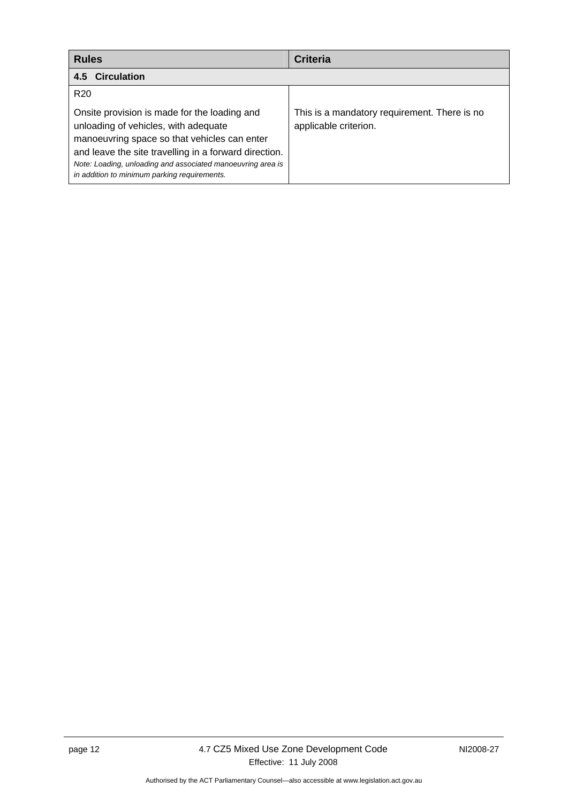<span id="page-15-0"></span>

| <b>Rules</b>                                                                                                                                                                                                                                                                                                 | <b>Criteria</b>                                                       |
|--------------------------------------------------------------------------------------------------------------------------------------------------------------------------------------------------------------------------------------------------------------------------------------------------------------|-----------------------------------------------------------------------|
| 4.5 Circulation                                                                                                                                                                                                                                                                                              |                                                                       |
| R <sub>20</sub>                                                                                                                                                                                                                                                                                              |                                                                       |
| Onsite provision is made for the loading and<br>unloading of vehicles, with adequate<br>manoeuvring space so that vehicles can enter<br>and leave the site travelling in a forward direction.<br>Note: Loading, unloading and associated manoeuvring area is<br>in addition to minimum parking requirements. | This is a mandatory requirement. There is no<br>applicable criterion. |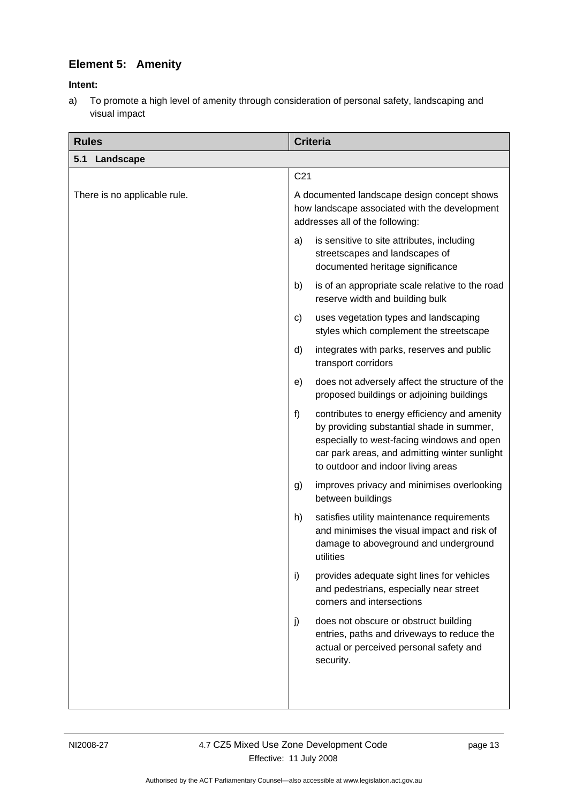## <span id="page-16-0"></span>**Element 5: Amenity**

#### **Intent:**

a) To promote a high level of amenity through consideration of personal safety, landscaping and visual impact

| <b>Rules</b>                 | <b>Criteria</b>                                                                                                                                                                                                                      |  |
|------------------------------|--------------------------------------------------------------------------------------------------------------------------------------------------------------------------------------------------------------------------------------|--|
| 5.1 Landscape                |                                                                                                                                                                                                                                      |  |
|                              | C <sub>21</sub>                                                                                                                                                                                                                      |  |
| There is no applicable rule. | A documented landscape design concept shows<br>how landscape associated with the development<br>addresses all of the following:                                                                                                      |  |
|                              | is sensitive to site attributes, including<br>a)<br>streetscapes and landscapes of<br>documented heritage significance                                                                                                               |  |
|                              | is of an appropriate scale relative to the road<br>b)<br>reserve width and building bulk                                                                                                                                             |  |
|                              | uses vegetation types and landscaping<br>c)<br>styles which complement the streetscape                                                                                                                                               |  |
|                              | integrates with parks, reserves and public<br>d)<br>transport corridors                                                                                                                                                              |  |
|                              | does not adversely affect the structure of the<br>e)<br>proposed buildings or adjoining buildings                                                                                                                                    |  |
|                              | f)<br>contributes to energy efficiency and amenity<br>by providing substantial shade in summer,<br>especially to west-facing windows and open<br>car park areas, and admitting winter sunlight<br>to outdoor and indoor living areas |  |
|                              | improves privacy and minimises overlooking<br>g)<br>between buildings                                                                                                                                                                |  |
|                              | h)<br>satisfies utility maintenance requirements<br>and minimises the visual impact and risk of<br>damage to aboveground and underground<br>utilities                                                                                |  |
|                              | i)<br>provides adequate sight lines for vehicles<br>and pedestrians, especially near street<br>corners and intersections                                                                                                             |  |
|                              | does not obscure or obstruct building<br>j)<br>entries, paths and driveways to reduce the<br>actual or perceived personal safety and<br>security.                                                                                    |  |
|                              |                                                                                                                                                                                                                                      |  |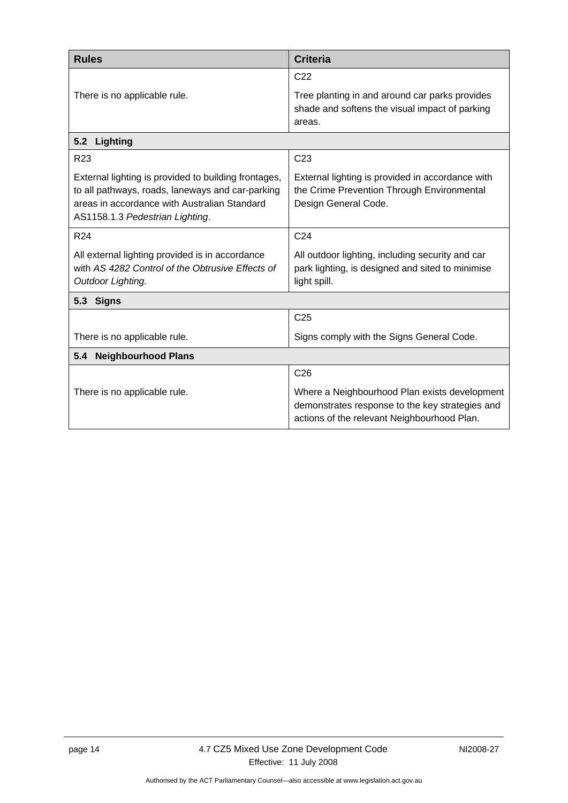<span id="page-17-0"></span>

| <b>Rules</b>                                                                                                                                                                                | <b>Criteria</b>                                                                                                                                 |  |
|---------------------------------------------------------------------------------------------------------------------------------------------------------------------------------------------|-------------------------------------------------------------------------------------------------------------------------------------------------|--|
|                                                                                                                                                                                             | C <sub>22</sub>                                                                                                                                 |  |
| There is no applicable rule.                                                                                                                                                                | Tree planting in and around car parks provides<br>shade and softens the visual impact of parking<br>areas.                                      |  |
| 5.2<br>Lighting                                                                                                                                                                             |                                                                                                                                                 |  |
| R <sub>23</sub>                                                                                                                                                                             | C <sub>23</sub>                                                                                                                                 |  |
| External lighting is provided to building frontages,<br>to all pathways, roads, laneways and car-parking<br>areas in accordance with Australian Standard<br>AS1158.1.3 Pedestrian Lighting. | External lighting is provided in accordance with<br>the Crime Prevention Through Environmental<br>Design General Code.                          |  |
| R24                                                                                                                                                                                         | C <sub>24</sub>                                                                                                                                 |  |
| All external lighting provided is in accordance<br>with AS 4282 Control of the Obtrusive Effects of<br>Outdoor Lighting.                                                                    | All outdoor lighting, including security and car<br>park lighting, is designed and sited to minimise<br>light spill.                            |  |
| 5.3 Signs                                                                                                                                                                                   |                                                                                                                                                 |  |
|                                                                                                                                                                                             | C <sub>25</sub>                                                                                                                                 |  |
| There is no applicable rule.                                                                                                                                                                | Signs comply with the Signs General Code.                                                                                                       |  |
| <b>Neighbourhood Plans</b><br>5.4                                                                                                                                                           |                                                                                                                                                 |  |
|                                                                                                                                                                                             | C <sub>26</sub>                                                                                                                                 |  |
| There is no applicable rule.                                                                                                                                                                | Where a Neighbourhood Plan exists development<br>demonstrates response to the key strategies and<br>actions of the relevant Neighbourhood Plan. |  |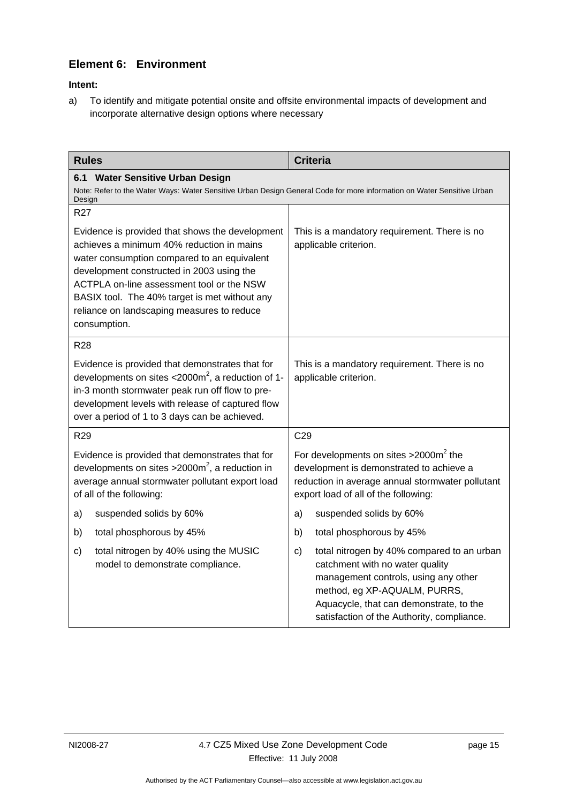## <span id="page-18-0"></span>**Element 6: Environment**

#### **Intent:**

a) To identify and mitigate potential onsite and offsite environmental impacts of development and incorporate alternative design options where necessary

| <b>Rules</b>                                                                                                                                                                                                                                                                                                                                         | <b>Criteria</b>                                                                                                                                                                                                                                                |  |
|------------------------------------------------------------------------------------------------------------------------------------------------------------------------------------------------------------------------------------------------------------------------------------------------------------------------------------------------------|----------------------------------------------------------------------------------------------------------------------------------------------------------------------------------------------------------------------------------------------------------------|--|
| <b>Water Sensitive Urban Design</b><br>6.1<br>Note: Refer to the Water Ways: Water Sensitive Urban Design General Code for more information on Water Sensitive Urban<br>Design                                                                                                                                                                       |                                                                                                                                                                                                                                                                |  |
| <b>R27</b>                                                                                                                                                                                                                                                                                                                                           |                                                                                                                                                                                                                                                                |  |
| Evidence is provided that shows the development<br>achieves a minimum 40% reduction in mains<br>water consumption compared to an equivalent<br>development constructed in 2003 using the<br>ACTPLA on-line assessment tool or the NSW<br>BASIX tool. The 40% target is met without any<br>reliance on landscaping measures to reduce<br>consumption. | This is a mandatory requirement. There is no<br>applicable criterion.                                                                                                                                                                                          |  |
| <b>R28</b>                                                                                                                                                                                                                                                                                                                                           |                                                                                                                                                                                                                                                                |  |
| Evidence is provided that demonstrates that for<br>developments on sites $<$ 2000m <sup>2</sup> , a reduction of 1-<br>in-3 month stormwater peak run off flow to pre-<br>development levels with release of captured flow<br>over a period of 1 to 3 days can be achieved.                                                                          | This is a mandatory requirement. There is no<br>applicable criterion.                                                                                                                                                                                          |  |
| R <sub>29</sub>                                                                                                                                                                                                                                                                                                                                      | C <sub>29</sub>                                                                                                                                                                                                                                                |  |
| Evidence is provided that demonstrates that for<br>developments on sites $>2000m^2$ , a reduction in<br>average annual stormwater pollutant export load<br>of all of the following:                                                                                                                                                                  | For developments on sites $>2000m^2$ the<br>development is demonstrated to achieve a<br>reduction in average annual stormwater pollutant<br>export load of all of the following:                                                                               |  |
| a)<br>suspended solids by 60%                                                                                                                                                                                                                                                                                                                        | suspended solids by 60%<br>a)                                                                                                                                                                                                                                  |  |
| b)<br>total phosphorous by 45%                                                                                                                                                                                                                                                                                                                       | b)<br>total phosphorous by 45%                                                                                                                                                                                                                                 |  |
| total nitrogen by 40% using the MUSIC<br>c)<br>model to demonstrate compliance.                                                                                                                                                                                                                                                                      | total nitrogen by 40% compared to an urban<br>$\mathbf{c}$<br>catchment with no water quality<br>management controls, using any other<br>method, eg XP-AQUALM, PURRS,<br>Aquacycle, that can demonstrate, to the<br>satisfaction of the Authority, compliance. |  |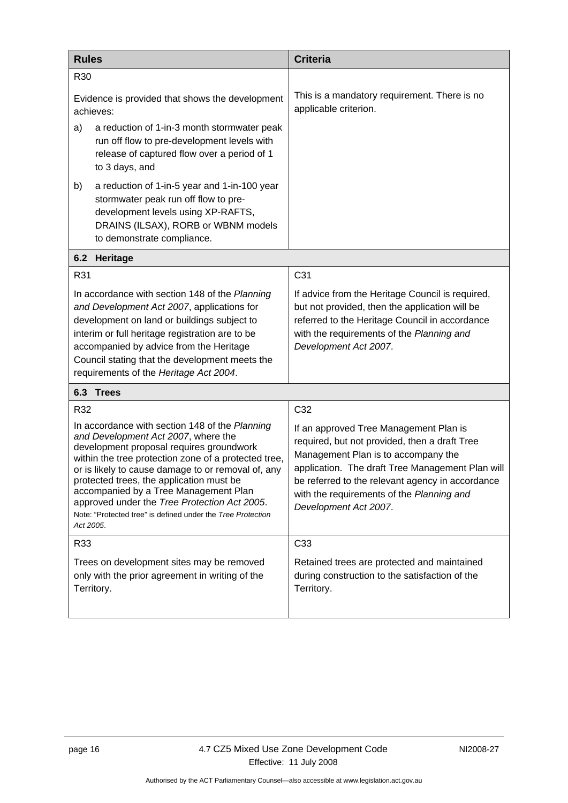<span id="page-19-0"></span>

| <b>Rules</b>                                                                                                                                                                                                                                                                                                                                                                                                                                                     | <b>Criteria</b>                                                                                                                                                                                                                                                                                              |
|------------------------------------------------------------------------------------------------------------------------------------------------------------------------------------------------------------------------------------------------------------------------------------------------------------------------------------------------------------------------------------------------------------------------------------------------------------------|--------------------------------------------------------------------------------------------------------------------------------------------------------------------------------------------------------------------------------------------------------------------------------------------------------------|
| R30                                                                                                                                                                                                                                                                                                                                                                                                                                                              |                                                                                                                                                                                                                                                                                                              |
| Evidence is provided that shows the development<br>achieves:                                                                                                                                                                                                                                                                                                                                                                                                     | This is a mandatory requirement. There is no<br>applicable criterion.                                                                                                                                                                                                                                        |
| a reduction of 1-in-3 month stormwater peak<br>a)<br>run off flow to pre-development levels with<br>release of captured flow over a period of 1<br>to 3 days, and                                                                                                                                                                                                                                                                                                |                                                                                                                                                                                                                                                                                                              |
| b)<br>a reduction of 1-in-5 year and 1-in-100 year<br>stormwater peak run off flow to pre-<br>development levels using XP-RAFTS,<br>DRAINS (ILSAX), RORB or WBNM models<br>to demonstrate compliance.                                                                                                                                                                                                                                                            |                                                                                                                                                                                                                                                                                                              |
| 6.2<br>Heritage                                                                                                                                                                                                                                                                                                                                                                                                                                                  |                                                                                                                                                                                                                                                                                                              |
| R31                                                                                                                                                                                                                                                                                                                                                                                                                                                              | C31                                                                                                                                                                                                                                                                                                          |
| In accordance with section 148 of the Planning<br>and Development Act 2007, applications for<br>development on land or buildings subject to<br>interim or full heritage registration are to be<br>accompanied by advice from the Heritage<br>Council stating that the development meets the<br>requirements of the Heritage Act 2004.                                                                                                                            | If advice from the Heritage Council is required,<br>but not provided, then the application will be<br>referred to the Heritage Council in accordance<br>with the requirements of the Planning and<br>Development Act 2007.                                                                                   |
| 6.3<br><b>Trees</b>                                                                                                                                                                                                                                                                                                                                                                                                                                              |                                                                                                                                                                                                                                                                                                              |
| R32                                                                                                                                                                                                                                                                                                                                                                                                                                                              | C32                                                                                                                                                                                                                                                                                                          |
| In accordance with section 148 of the Planning<br>and Development Act 2007, where the<br>development proposal requires groundwork<br>within the tree protection zone of a protected tree,<br>or is likely to cause damage to or removal of, any<br>protected trees, the application must be<br>accompanied by a Tree Management Plan<br>approved under the Tree Protection Act 2005.<br>Note: "Protected tree" is defined under the Tree Protection<br>Act 2005. | If an approved Tree Management Plan is<br>required, but not provided, then a draft Tree<br>Management Plan is to accompany the<br>application. The draft Tree Management Plan will<br>be referred to the relevant agency in accordance<br>with the requirements of the Planning and<br>Development Act 2007. |
| R33                                                                                                                                                                                                                                                                                                                                                                                                                                                              | C <sub>33</sub>                                                                                                                                                                                                                                                                                              |
| Trees on development sites may be removed<br>only with the prior agreement in writing of the<br>Territory.                                                                                                                                                                                                                                                                                                                                                       | Retained trees are protected and maintained<br>during construction to the satisfaction of the<br>Territory.                                                                                                                                                                                                  |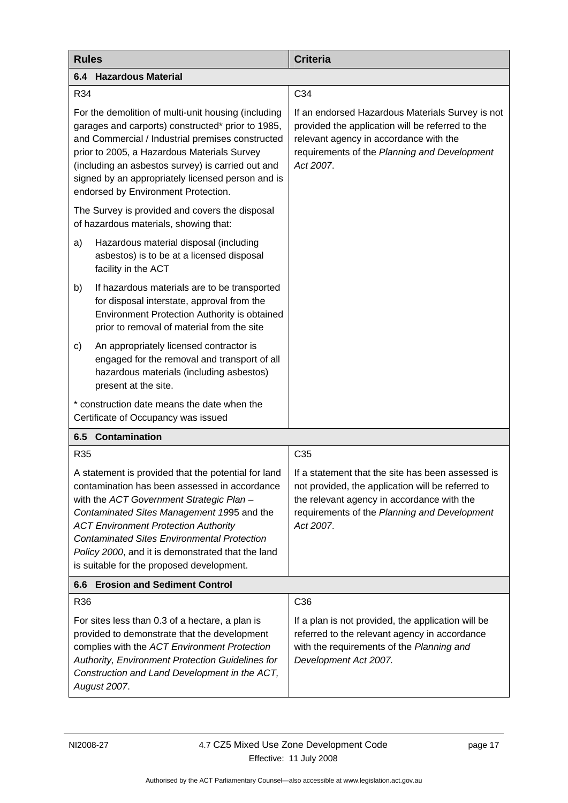<span id="page-20-0"></span>

| <b>Rules</b>                     |                                                                                                                                                                                                                                                                                                                                                                                                       | <b>Criteria</b>                                                                                                                                                                                                   |  |
|----------------------------------|-------------------------------------------------------------------------------------------------------------------------------------------------------------------------------------------------------------------------------------------------------------------------------------------------------------------------------------------------------------------------------------------------------|-------------------------------------------------------------------------------------------------------------------------------------------------------------------------------------------------------------------|--|
|                                  | <b>6.4 Hazardous Material</b>                                                                                                                                                                                                                                                                                                                                                                         |                                                                                                                                                                                                                   |  |
| R34                              |                                                                                                                                                                                                                                                                                                                                                                                                       | C34                                                                                                                                                                                                               |  |
|                                  | For the demolition of multi-unit housing (including<br>garages and carports) constructed* prior to 1985,<br>and Commercial / Industrial premises constructed<br>prior to 2005, a Hazardous Materials Survey<br>(including an asbestos survey) is carried out and<br>signed by an appropriately licensed person and is<br>endorsed by Environment Protection.                                          | If an endorsed Hazardous Materials Survey is not<br>provided the application will be referred to the<br>relevant agency in accordance with the<br>requirements of the Planning and Development<br>Act 2007.       |  |
|                                  | The Survey is provided and covers the disposal<br>of hazardous materials, showing that:                                                                                                                                                                                                                                                                                                               |                                                                                                                                                                                                                   |  |
| a)                               | Hazardous material disposal (including<br>asbestos) is to be at a licensed disposal<br>facility in the ACT                                                                                                                                                                                                                                                                                            |                                                                                                                                                                                                                   |  |
| b)                               | If hazardous materials are to be transported<br>for disposal interstate, approval from the<br>Environment Protection Authority is obtained<br>prior to removal of material from the site                                                                                                                                                                                                              |                                                                                                                                                                                                                   |  |
| c)                               | An appropriately licensed contractor is<br>engaged for the removal and transport of all<br>hazardous materials (including asbestos)<br>present at the site.                                                                                                                                                                                                                                           |                                                                                                                                                                                                                   |  |
|                                  | * construction date means the date when the<br>Certificate of Occupancy was issued                                                                                                                                                                                                                                                                                                                    |                                                                                                                                                                                                                   |  |
|                                  | <b>6.5 Contamination</b>                                                                                                                                                                                                                                                                                                                                                                              |                                                                                                                                                                                                                   |  |
| R35                              |                                                                                                                                                                                                                                                                                                                                                                                                       | C <sub>35</sub>                                                                                                                                                                                                   |  |
|                                  | A statement is provided that the potential for land<br>contamination has been assessed in accordance<br>with the ACT Government Strategic Plan -<br>Contaminated Sites Management 1995 and the<br><b>ACT Environment Protection Authority</b><br><b>Contaminated Sites Environmental Protection</b><br>Policy 2000, and it is demonstrated that the land<br>is suitable for the proposed development. | If a statement that the site has been assessed is<br>not provided, the application will be referred to<br>the relevant agency in accordance with the<br>requirements of the Planning and Development<br>Act 2007. |  |
| 6.6 Erosion and Sediment Control |                                                                                                                                                                                                                                                                                                                                                                                                       |                                                                                                                                                                                                                   |  |
| R36                              |                                                                                                                                                                                                                                                                                                                                                                                                       | C36                                                                                                                                                                                                               |  |
|                                  | For sites less than 0.3 of a hectare, a plan is<br>provided to demonstrate that the development<br>complies with the ACT Environment Protection<br>Authority, Environment Protection Guidelines for<br>Construction and Land Development in the ACT,<br>August 2007.                                                                                                                                  | If a plan is not provided, the application will be<br>referred to the relevant agency in accordance<br>with the requirements of the Planning and<br>Development Act 2007.                                         |  |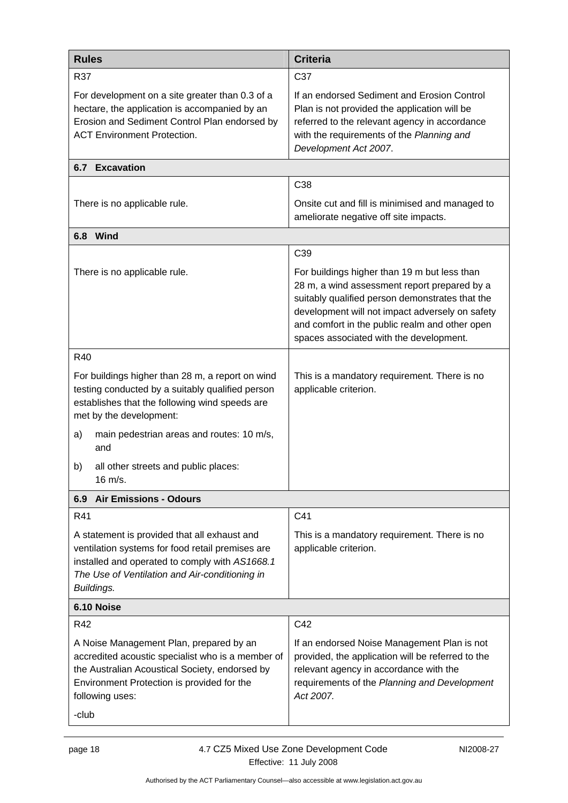<span id="page-21-0"></span>

| <b>Rules</b>                                                                                                                                                                                                             | <b>Criteria</b>                                                                                                                                                                                                                                                                                 |  |
|--------------------------------------------------------------------------------------------------------------------------------------------------------------------------------------------------------------------------|-------------------------------------------------------------------------------------------------------------------------------------------------------------------------------------------------------------------------------------------------------------------------------------------------|--|
| R37                                                                                                                                                                                                                      | C37                                                                                                                                                                                                                                                                                             |  |
| For development on a site greater than 0.3 of a<br>hectare, the application is accompanied by an<br>Erosion and Sediment Control Plan endorsed by<br><b>ACT Environment Protection.</b>                                  | If an endorsed Sediment and Erosion Control<br>Plan is not provided the application will be<br>referred to the relevant agency in accordance<br>with the requirements of the Planning and<br>Development Act 2007.                                                                              |  |
| <b>6.7 Excavation</b>                                                                                                                                                                                                    |                                                                                                                                                                                                                                                                                                 |  |
|                                                                                                                                                                                                                          | C38                                                                                                                                                                                                                                                                                             |  |
| There is no applicable rule.                                                                                                                                                                                             | Onsite cut and fill is minimised and managed to<br>ameliorate negative off site impacts.                                                                                                                                                                                                        |  |
| 6.8 Wind                                                                                                                                                                                                                 |                                                                                                                                                                                                                                                                                                 |  |
|                                                                                                                                                                                                                          | C39                                                                                                                                                                                                                                                                                             |  |
| There is no applicable rule.                                                                                                                                                                                             | For buildings higher than 19 m but less than<br>28 m, a wind assessment report prepared by a<br>suitably qualified person demonstrates that the<br>development will not impact adversely on safety<br>and comfort in the public realm and other open<br>spaces associated with the development. |  |
| R40                                                                                                                                                                                                                      |                                                                                                                                                                                                                                                                                                 |  |
| For buildings higher than 28 m, a report on wind<br>testing conducted by a suitably qualified person<br>establishes that the following wind speeds are<br>met by the development:                                        | This is a mandatory requirement. There is no<br>applicable criterion.                                                                                                                                                                                                                           |  |
| main pedestrian areas and routes: 10 m/s,<br>a)<br>and                                                                                                                                                                   |                                                                                                                                                                                                                                                                                                 |  |
| all other streets and public places:<br>b)<br>16 m/s.                                                                                                                                                                    |                                                                                                                                                                                                                                                                                                 |  |
| 6.9 Air Emissions - Odours                                                                                                                                                                                               |                                                                                                                                                                                                                                                                                                 |  |
| R41                                                                                                                                                                                                                      | C41                                                                                                                                                                                                                                                                                             |  |
| A statement is provided that all exhaust and<br>ventilation systems for food retail premises are<br>installed and operated to comply with AS1668.1<br>The Use of Ventilation and Air-conditioning in<br>Buildings.       | This is a mandatory requirement. There is no<br>applicable criterion.                                                                                                                                                                                                                           |  |
| 6.10 Noise                                                                                                                                                                                                               |                                                                                                                                                                                                                                                                                                 |  |
| R42                                                                                                                                                                                                                      | C42                                                                                                                                                                                                                                                                                             |  |
| A Noise Management Plan, prepared by an<br>accredited acoustic specialist who is a member of<br>the Australian Acoustical Society, endorsed by<br>Environment Protection is provided for the<br>following uses:<br>-club | If an endorsed Noise Management Plan is not<br>provided, the application will be referred to the<br>relevant agency in accordance with the<br>requirements of the Planning and Development<br>Act 2007.                                                                                         |  |
|                                                                                                                                                                                                                          |                                                                                                                                                                                                                                                                                                 |  |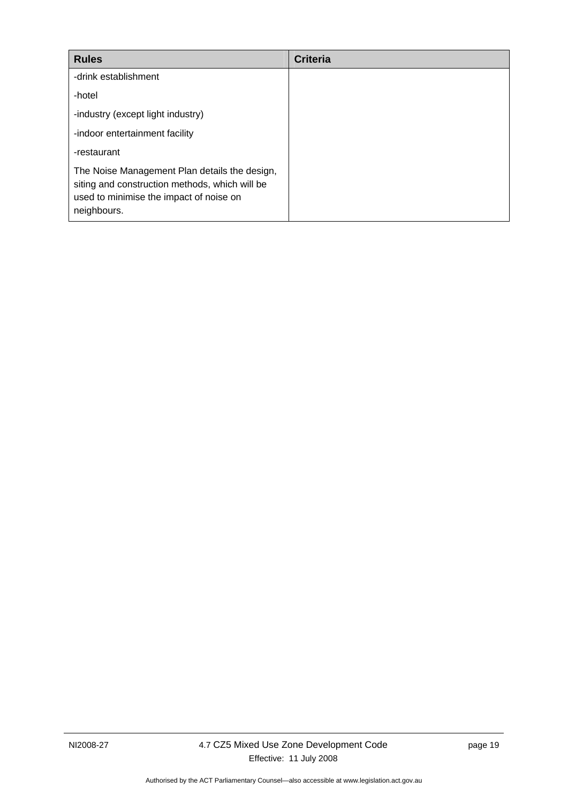| <b>Rules</b>                                                                                                                                              | <b>Criteria</b> |
|-----------------------------------------------------------------------------------------------------------------------------------------------------------|-----------------|
| -drink establishment                                                                                                                                      |                 |
| -hotel                                                                                                                                                    |                 |
| -industry (except light industry)                                                                                                                         |                 |
| -indoor entertainment facility                                                                                                                            |                 |
| -restaurant                                                                                                                                               |                 |
| The Noise Management Plan details the design,<br>siting and construction methods, which will be<br>used to minimise the impact of noise on<br>neighbours. |                 |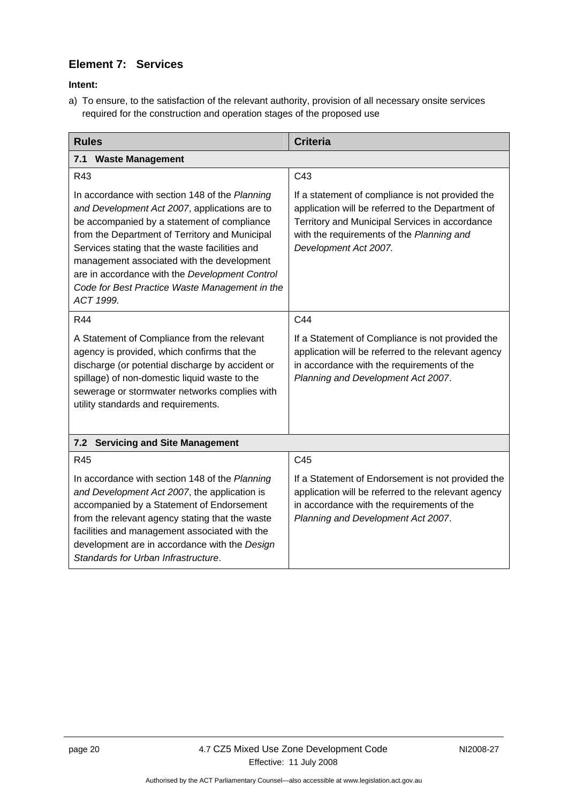## <span id="page-23-0"></span>**Element 7: Services**

**Intent:** 

a) To ensure, to the satisfaction of the relevant authority, provision of all necessary onsite services required for the construction and operation stages of the proposed use

| <b>Rules</b>                                                                                                                                                                                                                                                                                                                                                                                                      | <b>Criteria</b>                                                                                                                                                                                                               |  |
|-------------------------------------------------------------------------------------------------------------------------------------------------------------------------------------------------------------------------------------------------------------------------------------------------------------------------------------------------------------------------------------------------------------------|-------------------------------------------------------------------------------------------------------------------------------------------------------------------------------------------------------------------------------|--|
| <b>Waste Management</b><br>7.1                                                                                                                                                                                                                                                                                                                                                                                    |                                                                                                                                                                                                                               |  |
| R43                                                                                                                                                                                                                                                                                                                                                                                                               | C43                                                                                                                                                                                                                           |  |
| In accordance with section 148 of the Planning<br>and Development Act 2007, applications are to<br>be accompanied by a statement of compliance<br>from the Department of Territory and Municipal<br>Services stating that the waste facilities and<br>management associated with the development<br>are in accordance with the Development Control<br>Code for Best Practice Waste Management in the<br>ACT 1999. | If a statement of compliance is not provided the<br>application will be referred to the Department of<br>Territory and Municipal Services in accordance<br>with the requirements of the Planning and<br>Development Act 2007. |  |
| R44                                                                                                                                                                                                                                                                                                                                                                                                               | C44                                                                                                                                                                                                                           |  |
| A Statement of Compliance from the relevant<br>agency is provided, which confirms that the<br>discharge (or potential discharge by accident or<br>spillage) of non-domestic liquid waste to the<br>sewerage or stormwater networks complies with<br>utility standards and requirements.                                                                                                                           | If a Statement of Compliance is not provided the<br>application will be referred to the relevant agency<br>in accordance with the requirements of the<br>Planning and Development Act 2007.                                   |  |
| 7.2 Servicing and Site Management                                                                                                                                                                                                                                                                                                                                                                                 |                                                                                                                                                                                                                               |  |
| R45                                                                                                                                                                                                                                                                                                                                                                                                               | C <sub>45</sub>                                                                                                                                                                                                               |  |
| In accordance with section 148 of the Planning<br>and Development Act 2007, the application is<br>accompanied by a Statement of Endorsement<br>from the relevant agency stating that the waste<br>facilities and management associated with the<br>development are in accordance with the Design<br>Standards for Urban Infrastructure.                                                                           | If a Statement of Endorsement is not provided the<br>application will be referred to the relevant agency<br>in accordance with the requirements of the<br>Planning and Development Act 2007.                                  |  |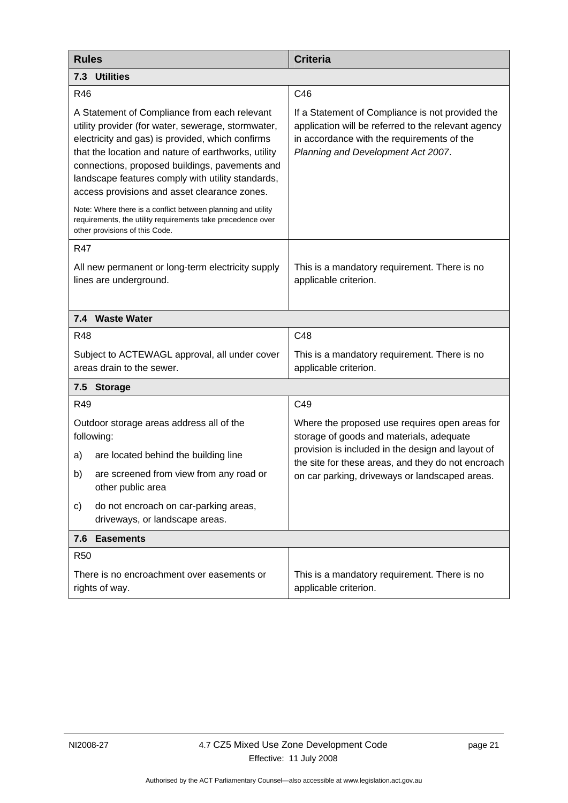<span id="page-24-0"></span>

| <b>Rules</b>                                                                                                                                                                                                                                                                                                                                                         | <b>Criteria</b>                                                                                                                                                                             |  |
|----------------------------------------------------------------------------------------------------------------------------------------------------------------------------------------------------------------------------------------------------------------------------------------------------------------------------------------------------------------------|---------------------------------------------------------------------------------------------------------------------------------------------------------------------------------------------|--|
| 7.3 Utilities                                                                                                                                                                                                                                                                                                                                                        |                                                                                                                                                                                             |  |
| R46                                                                                                                                                                                                                                                                                                                                                                  | C46                                                                                                                                                                                         |  |
| A Statement of Compliance from each relevant<br>utility provider (for water, sewerage, stormwater,<br>electricity and gas) is provided, which confirms<br>that the location and nature of earthworks, utility<br>connections, proposed buildings, pavements and<br>landscape features comply with utility standards,<br>access provisions and asset clearance zones. | If a Statement of Compliance is not provided the<br>application will be referred to the relevant agency<br>in accordance with the requirements of the<br>Planning and Development Act 2007. |  |
| Note: Where there is a conflict between planning and utility<br>requirements, the utility requirements take precedence over<br>other provisions of this Code.                                                                                                                                                                                                        |                                                                                                                                                                                             |  |
| <b>R47</b>                                                                                                                                                                                                                                                                                                                                                           |                                                                                                                                                                                             |  |
| All new permanent or long-term electricity supply<br>lines are underground.                                                                                                                                                                                                                                                                                          | This is a mandatory requirement. There is no<br>applicable criterion.                                                                                                                       |  |
| 7.4 Waste Water                                                                                                                                                                                                                                                                                                                                                      |                                                                                                                                                                                             |  |
| <b>R48</b>                                                                                                                                                                                                                                                                                                                                                           | C48                                                                                                                                                                                         |  |
| Subject to ACTEWAGL approval, all under cover<br>areas drain to the sewer.                                                                                                                                                                                                                                                                                           | This is a mandatory requirement. There is no<br>applicable criterion.                                                                                                                       |  |
| 7.5 Storage                                                                                                                                                                                                                                                                                                                                                          |                                                                                                                                                                                             |  |
| R49                                                                                                                                                                                                                                                                                                                                                                  | C49                                                                                                                                                                                         |  |
| Outdoor storage areas address all of the<br>following:                                                                                                                                                                                                                                                                                                               | Where the proposed use requires open areas for<br>storage of goods and materials, adequate                                                                                                  |  |
| are located behind the building line<br>a)                                                                                                                                                                                                                                                                                                                           | provision is included in the design and layout of<br>the site for these areas, and they do not encroach                                                                                     |  |
| are screened from view from any road or<br>b)<br>other public area                                                                                                                                                                                                                                                                                                   | on car parking, driveways or landscaped areas.                                                                                                                                              |  |
| do not encroach on car-parking areas,<br>c)<br>driveways, or landscape areas.                                                                                                                                                                                                                                                                                        |                                                                                                                                                                                             |  |
| <b>Easements</b><br>7.6                                                                                                                                                                                                                                                                                                                                              |                                                                                                                                                                                             |  |
| <b>R50</b>                                                                                                                                                                                                                                                                                                                                                           |                                                                                                                                                                                             |  |
| There is no encroachment over easements or<br>rights of way.                                                                                                                                                                                                                                                                                                         | This is a mandatory requirement. There is no<br>applicable criterion.                                                                                                                       |  |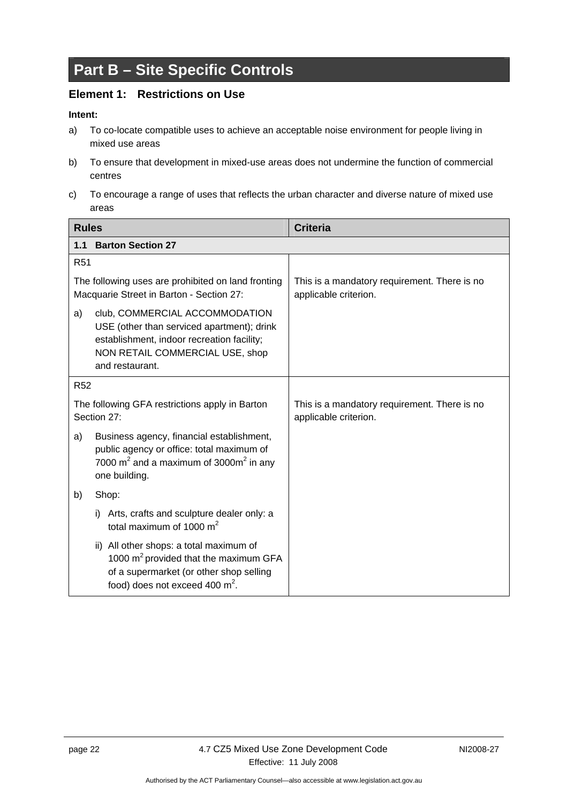## <span id="page-25-0"></span>**Part B – Site Specific Controls**

### **Element 1: Restrictions on Use**

- a) To co-locate compatible uses to achieve an acceptable noise environment for people living in mixed use areas
- b) To ensure that development in mixed-use areas does not undermine the function of commercial centres
- c) To encourage a range of uses that reflects the urban character and diverse nature of mixed use areas

| <b>Rules</b>    |                                                                                                                                                                                  | <b>Criteria</b>                                                       |
|-----------------|----------------------------------------------------------------------------------------------------------------------------------------------------------------------------------|-----------------------------------------------------------------------|
| 1.1             | <b>Barton Section 27</b>                                                                                                                                                         |                                                                       |
| R <sub>51</sub> |                                                                                                                                                                                  |                                                                       |
|                 | The following uses are prohibited on land fronting<br>Macquarie Street in Barton - Section 27:                                                                                   | This is a mandatory requirement. There is no<br>applicable criterion. |
| a)              | club, COMMERCIAL ACCOMMODATION<br>USE (other than serviced apartment); drink<br>establishment, indoor recreation facility;<br>NON RETAIL COMMERCIAL USE, shop<br>and restaurant. |                                                                       |
| <b>R52</b>      |                                                                                                                                                                                  |                                                                       |
|                 | The following GFA restrictions apply in Barton<br>Section 27:                                                                                                                    | This is a mandatory requirement. There is no<br>applicable criterion. |
| a)              | Business agency, financial establishment,<br>public agency or office: total maximum of<br>7000 $m^2$ and a maximum of 3000 $m^2$ in any<br>one building.                         |                                                                       |
| b)              | Shop:                                                                                                                                                                            |                                                                       |
|                 | Arts, crafts and sculpture dealer only: a<br>i)<br>total maximum of 1000 $m2$                                                                                                    |                                                                       |
|                 | ii) All other shops: a total maximum of<br>1000 m <sup>2</sup> provided that the maximum GFA<br>of a supermarket (or other shop selling<br>food) does not exceed 400 $m^2$ .     |                                                                       |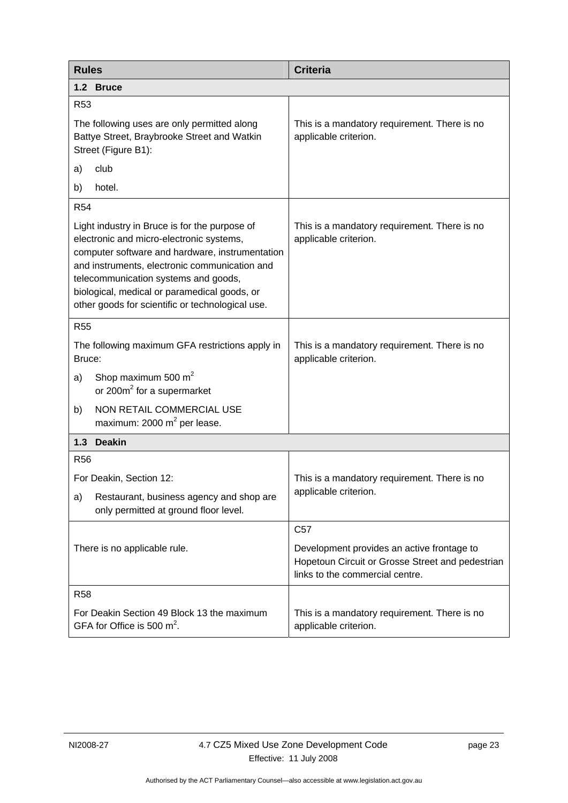<span id="page-26-0"></span>

| <b>Rules</b>                                                                                                                                                                                                                                                                                                                              | <b>Criteria</b>                                                                                                                   |  |
|-------------------------------------------------------------------------------------------------------------------------------------------------------------------------------------------------------------------------------------------------------------------------------------------------------------------------------------------|-----------------------------------------------------------------------------------------------------------------------------------|--|
| 1.2 Bruce                                                                                                                                                                                                                                                                                                                                 |                                                                                                                                   |  |
| R <sub>53</sub>                                                                                                                                                                                                                                                                                                                           |                                                                                                                                   |  |
| The following uses are only permitted along<br>Battye Street, Braybrooke Street and Watkin<br>Street (Figure B1):                                                                                                                                                                                                                         | This is a mandatory requirement. There is no<br>applicable criterion.                                                             |  |
| club<br>a)                                                                                                                                                                                                                                                                                                                                |                                                                                                                                   |  |
| hotel.<br>b)                                                                                                                                                                                                                                                                                                                              |                                                                                                                                   |  |
| <b>R54</b>                                                                                                                                                                                                                                                                                                                                |                                                                                                                                   |  |
| Light industry in Bruce is for the purpose of<br>electronic and micro-electronic systems,<br>computer software and hardware, instrumentation<br>and instruments, electronic communication and<br>telecommunication systems and goods,<br>biological, medical or paramedical goods, or<br>other goods for scientific or technological use. | This is a mandatory requirement. There is no<br>applicable criterion.                                                             |  |
| <b>R55</b>                                                                                                                                                                                                                                                                                                                                |                                                                                                                                   |  |
| The following maximum GFA restrictions apply in<br>Bruce:                                                                                                                                                                                                                                                                                 | This is a mandatory requirement. There is no<br>applicable criterion.                                                             |  |
| Shop maximum 500 $m2$<br>a)<br>or 200m <sup>2</sup> for a supermarket                                                                                                                                                                                                                                                                     |                                                                                                                                   |  |
| NON RETAIL COMMERCIAL USE<br>b)<br>maximum: $2000 \text{ m}^2$ per lease.                                                                                                                                                                                                                                                                 |                                                                                                                                   |  |
| 1.3<br><b>Deakin</b>                                                                                                                                                                                                                                                                                                                      |                                                                                                                                   |  |
| <b>R56</b>                                                                                                                                                                                                                                                                                                                                |                                                                                                                                   |  |
| For Deakin, Section 12:                                                                                                                                                                                                                                                                                                                   | This is a mandatory requirement. There is no                                                                                      |  |
| Restaurant, business agency and shop are<br>a)<br>only permitted at ground floor level.                                                                                                                                                                                                                                                   | applicable criterion.                                                                                                             |  |
|                                                                                                                                                                                                                                                                                                                                           | C <sub>57</sub>                                                                                                                   |  |
| There is no applicable rule.                                                                                                                                                                                                                                                                                                              | Development provides an active frontage to<br>Hopetoun Circuit or Grosse Street and pedestrian<br>links to the commercial centre. |  |
| <b>R58</b>                                                                                                                                                                                                                                                                                                                                |                                                                                                                                   |  |
| For Deakin Section 49 Block 13 the maximum<br>GFA for Office is 500 $m^2$ .                                                                                                                                                                                                                                                               | This is a mandatory requirement. There is no<br>applicable criterion.                                                             |  |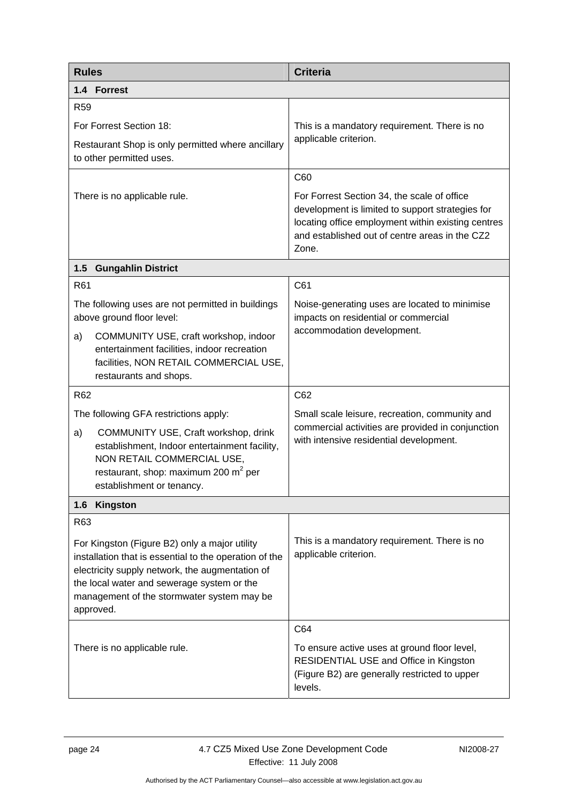<span id="page-27-0"></span>

| <b>Rules</b>                          |                                                                                                                                                                                                                                                        | <b>Criteria</b>                                                                                                                                                                                                  |
|---------------------------------------|--------------------------------------------------------------------------------------------------------------------------------------------------------------------------------------------------------------------------------------------------------|------------------------------------------------------------------------------------------------------------------------------------------------------------------------------------------------------------------|
| 1.4 Forrest                           |                                                                                                                                                                                                                                                        |                                                                                                                                                                                                                  |
| <b>R59</b>                            |                                                                                                                                                                                                                                                        |                                                                                                                                                                                                                  |
| For Forrest Section 18:               |                                                                                                                                                                                                                                                        | This is a mandatory requirement. There is no                                                                                                                                                                     |
| to other permitted uses.              | Restaurant Shop is only permitted where ancillary                                                                                                                                                                                                      | applicable criterion.                                                                                                                                                                                            |
|                                       |                                                                                                                                                                                                                                                        | C60                                                                                                                                                                                                              |
| There is no applicable rule.          |                                                                                                                                                                                                                                                        | For Forrest Section 34, the scale of office<br>development is limited to support strategies for<br>locating office employment within existing centres<br>and established out of centre areas in the CZ2<br>Zone. |
| <b>Gungahlin District</b><br>$1.5$    |                                                                                                                                                                                                                                                        |                                                                                                                                                                                                                  |
| R61                                   |                                                                                                                                                                                                                                                        | C61                                                                                                                                                                                                              |
| above ground floor level:             | The following uses are not permitted in buildings<br>COMMUNITY USE, craft workshop, indoor                                                                                                                                                             | Noise-generating uses are located to minimise<br>impacts on residential or commercial<br>accommodation development.                                                                                              |
| a)<br>restaurants and shops.          | entertainment facilities, indoor recreation<br>facilities, NON RETAIL COMMERCIAL USE,                                                                                                                                                                  |                                                                                                                                                                                                                  |
| R62                                   |                                                                                                                                                                                                                                                        | C62                                                                                                                                                                                                              |
| The following GFA restrictions apply: |                                                                                                                                                                                                                                                        | Small scale leisure, recreation, community and                                                                                                                                                                   |
| a)<br>establishment or tenancy.       | COMMUNITY USE, Craft workshop, drink<br>establishment, Indoor entertainment facility,<br>NON RETAIL COMMERCIAL USE,<br>restaurant, shop: maximum 200 $m^2$ per                                                                                         | commercial activities are provided in conjunction<br>with intensive residential development.                                                                                                                     |
| 1.6<br>Kingston                       |                                                                                                                                                                                                                                                        |                                                                                                                                                                                                                  |
| R63                                   |                                                                                                                                                                                                                                                        |                                                                                                                                                                                                                  |
| approved.                             | For Kingston (Figure B2) only a major utility<br>installation that is essential to the operation of the<br>electricity supply network, the augmentation of<br>the local water and sewerage system or the<br>management of the stormwater system may be | This is a mandatory requirement. There is no<br>applicable criterion.                                                                                                                                            |
|                                       |                                                                                                                                                                                                                                                        | C64                                                                                                                                                                                                              |
| There is no applicable rule.          |                                                                                                                                                                                                                                                        | To ensure active uses at ground floor level,<br>RESIDENTIAL USE and Office in Kingston<br>(Figure B2) are generally restricted to upper<br>levels.                                                               |
|                                       |                                                                                                                                                                                                                                                        |                                                                                                                                                                                                                  |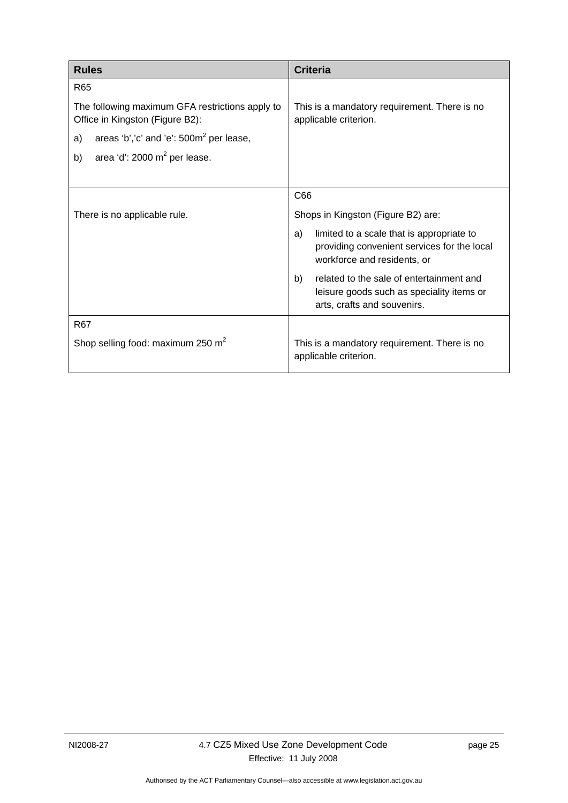| <b>Rules</b>                                                                       | <b>Criteria</b>                                                                                                               |
|------------------------------------------------------------------------------------|-------------------------------------------------------------------------------------------------------------------------------|
| R <sub>65</sub>                                                                    |                                                                                                                               |
| The following maximum GFA restrictions apply to<br>Office in Kingston (Figure B2): | This is a mandatory requirement. There is no<br>applicable criterion.                                                         |
| areas 'b','c' and 'e': $500m^2$ per lease,<br>a)                                   |                                                                                                                               |
| area 'd': 2000 m <sup>2</sup> per lease.<br>b)                                     |                                                                                                                               |
|                                                                                    |                                                                                                                               |
|                                                                                    | C66                                                                                                                           |
| There is no applicable rule.                                                       | Shops in Kingston (Figure B2) are:                                                                                            |
|                                                                                    | limited to a scale that is appropriate to<br>a)<br>providing convenient services for the local<br>workforce and residents, or |
|                                                                                    | related to the sale of entertainment and<br>b)<br>leisure goods such as speciality items or<br>arts, crafts and souvenirs.    |
| R <sub>67</sub>                                                                    |                                                                                                                               |
| Shop selling food: maximum 250 $m2$                                                | This is a mandatory requirement. There is no<br>applicable criterion.                                                         |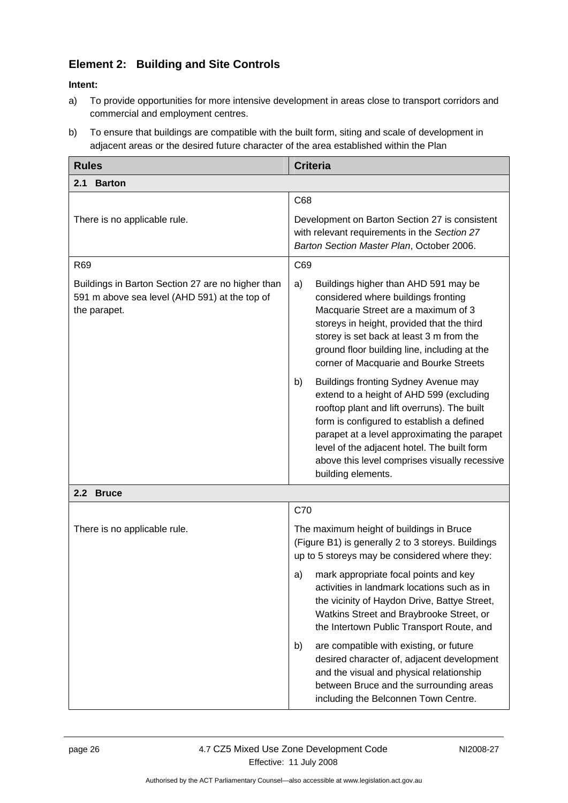## <span id="page-29-0"></span>**Element 2: Building and Site Controls**

- a) To provide opportunities for more intensive development in areas close to transport corridors and commercial and employment centres.
- b) To ensure that buildings are compatible with the built form, siting and scale of development in adjacent areas or the desired future character of the area established within the Plan

| <b>Rules</b>                                                                                                       | <b>Criteria</b>                                                                                                                                                                                                                                                                                                                                            |
|--------------------------------------------------------------------------------------------------------------------|------------------------------------------------------------------------------------------------------------------------------------------------------------------------------------------------------------------------------------------------------------------------------------------------------------------------------------------------------------|
| <b>Barton</b><br>2.1                                                                                               |                                                                                                                                                                                                                                                                                                                                                            |
|                                                                                                                    | C68                                                                                                                                                                                                                                                                                                                                                        |
| There is no applicable rule.                                                                                       | Development on Barton Section 27 is consistent<br>with relevant requirements in the Section 27<br>Barton Section Master Plan, October 2006.                                                                                                                                                                                                                |
| R69                                                                                                                | C69                                                                                                                                                                                                                                                                                                                                                        |
| Buildings in Barton Section 27 are no higher than<br>591 m above sea level (AHD 591) at the top of<br>the parapet. | a)<br>Buildings higher than AHD 591 may be<br>considered where buildings fronting<br>Macquarie Street are a maximum of 3<br>storeys in height, provided that the third<br>storey is set back at least 3 m from the<br>ground floor building line, including at the<br>corner of Macquarie and Bourke Streets<br>Buildings fronting Sydney Avenue may<br>b) |
|                                                                                                                    | extend to a height of AHD 599 (excluding<br>rooftop plant and lift overruns). The built<br>form is configured to establish a defined<br>parapet at a level approximating the parapet<br>level of the adjacent hotel. The built form<br>above this level comprises visually recessive<br>building elements.                                                 |
| 2.2 Bruce                                                                                                          |                                                                                                                                                                                                                                                                                                                                                            |
|                                                                                                                    | C70                                                                                                                                                                                                                                                                                                                                                        |
| There is no applicable rule.                                                                                       | The maximum height of buildings in Bruce<br>(Figure B1) is generally 2 to 3 storeys. Buildings<br>up to 5 storeys may be considered where they:                                                                                                                                                                                                            |
|                                                                                                                    | mark appropriate focal points and key<br>a)<br>activities in landmark locations such as in<br>the vicinity of Haydon Drive, Battye Street,<br>Watkins Street and Braybrooke Street, or<br>the Intertown Public Transport Route, and                                                                                                                        |
|                                                                                                                    | are compatible with existing, or future<br>b)<br>desired character of, adjacent development<br>and the visual and physical relationship<br>between Bruce and the surrounding areas<br>including the Belconnen Town Centre.                                                                                                                                 |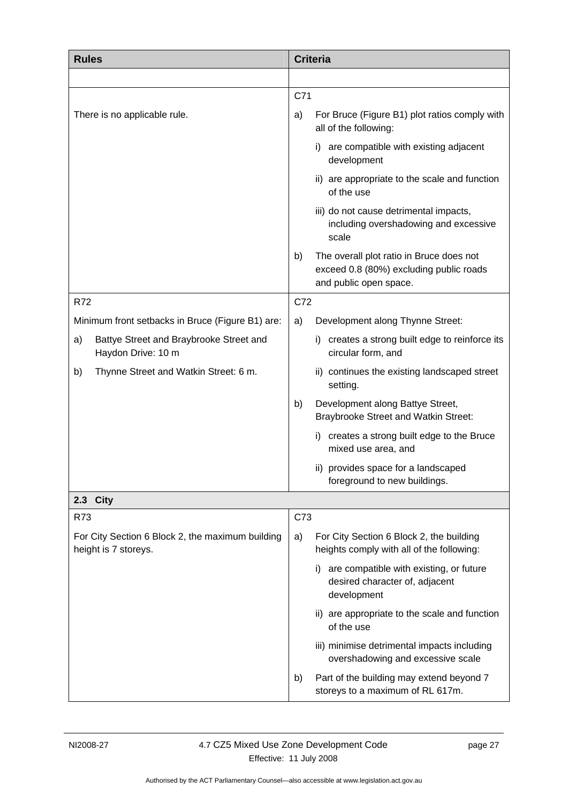<span id="page-30-0"></span>

| <b>Rules</b>                                                             | <b>Criteria</b>                                                                                                     |
|--------------------------------------------------------------------------|---------------------------------------------------------------------------------------------------------------------|
|                                                                          |                                                                                                                     |
|                                                                          | C71                                                                                                                 |
| There is no applicable rule.                                             | For Bruce (Figure B1) plot ratios comply with<br>a)<br>all of the following:                                        |
|                                                                          | i) are compatible with existing adjacent<br>development                                                             |
|                                                                          | ii) are appropriate to the scale and function<br>of the use                                                         |
|                                                                          | iii) do not cause detrimental impacts,<br>including overshadowing and excessive<br>scale                            |
|                                                                          | The overall plot ratio in Bruce does not<br>b)<br>exceed 0.8 (80%) excluding public roads<br>and public open space. |
| <b>R72</b>                                                               | C72                                                                                                                 |
| Minimum front setbacks in Bruce (Figure B1) are:                         | Development along Thynne Street:<br>a)                                                                              |
| Battye Street and Braybrooke Street and<br>a)<br>Haydon Drive: 10 m      | creates a strong built edge to reinforce its<br>i).<br>circular form, and                                           |
| Thynne Street and Watkin Street: 6 m.<br>b)                              | ii) continues the existing landscaped street<br>setting.                                                            |
|                                                                          | Development along Battye Street,<br>b)<br><b>Braybrooke Street and Watkin Street:</b>                               |
|                                                                          | i) creates a strong built edge to the Bruce<br>mixed use area, and                                                  |
|                                                                          | ii) provides space for a landscaped<br>foreground to new buildings.                                                 |
| <b>City</b><br>2.3                                                       |                                                                                                                     |
| R73                                                                      | C73                                                                                                                 |
| For City Section 6 Block 2, the maximum building<br>height is 7 storeys. | For City Section 6 Block 2, the building<br>a)<br>heights comply with all of the following:                         |
|                                                                          | are compatible with existing, or future<br>i)<br>desired character of, adjacent<br>development                      |
|                                                                          | ii) are appropriate to the scale and function<br>of the use                                                         |
|                                                                          | iii) minimise detrimental impacts including<br>overshadowing and excessive scale                                    |
|                                                                          | Part of the building may extend beyond 7<br>b)<br>storeys to a maximum of RL 617m.                                  |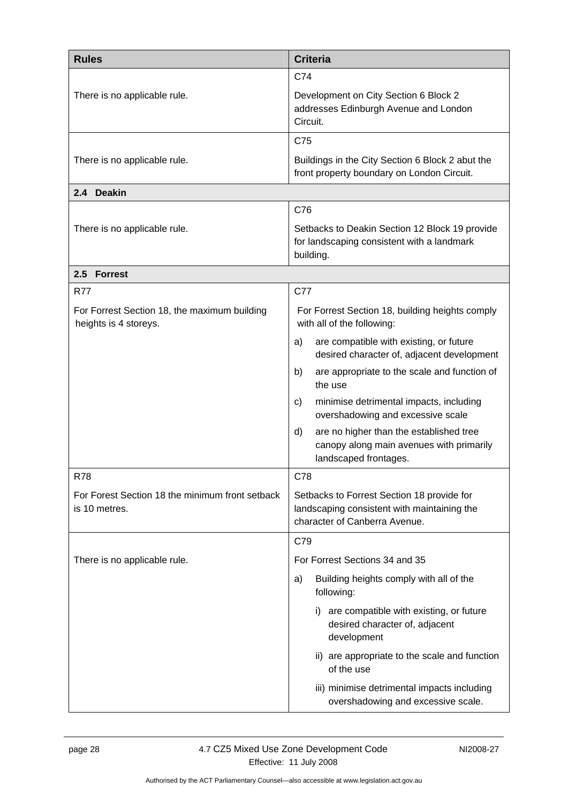<span id="page-31-0"></span>

| <b>Rules</b>                                                          | <b>Criteria</b>                                                                                                            |
|-----------------------------------------------------------------------|----------------------------------------------------------------------------------------------------------------------------|
|                                                                       | C74                                                                                                                        |
| There is no applicable rule.                                          | Development on City Section 6 Block 2<br>addresses Edinburgh Avenue and London<br>Circuit.                                 |
|                                                                       | C75                                                                                                                        |
| There is no applicable rule.                                          | Buildings in the City Section 6 Block 2 abut the<br>front property boundary on London Circuit.                             |
| 2.4 Deakin                                                            |                                                                                                                            |
|                                                                       | C76                                                                                                                        |
| There is no applicable rule.                                          | Setbacks to Deakin Section 12 Block 19 provide<br>for landscaping consistent with a landmark<br>building.                  |
| 2.5 Forrest                                                           |                                                                                                                            |
| <b>R77</b>                                                            | C77                                                                                                                        |
| For Forrest Section 18, the maximum building<br>heights is 4 storeys. | For Forrest Section 18, building heights comply<br>with all of the following:                                              |
|                                                                       | are compatible with existing, or future<br>a)<br>desired character of, adjacent development                                |
|                                                                       | are appropriate to the scale and function of<br>b)<br>the use                                                              |
|                                                                       | minimise detrimental impacts, including<br>C)<br>overshadowing and excessive scale                                         |
|                                                                       | are no higher than the established tree<br>d)<br>canopy along main avenues with primarily<br>landscaped frontages.         |
| <b>R78</b>                                                            | C78                                                                                                                        |
| For Forest Section 18 the minimum front setback<br>is 10 metres.      | Setbacks to Forrest Section 18 provide for<br>landscaping consistent with maintaining the<br>character of Canberra Avenue. |
|                                                                       | C79                                                                                                                        |
| There is no applicable rule.                                          | For Forrest Sections 34 and 35                                                                                             |
|                                                                       | Building heights comply with all of the<br>a)<br>following:                                                                |
|                                                                       | are compatible with existing, or future<br>i)<br>desired character of, adjacent<br>development                             |
|                                                                       | ii) are appropriate to the scale and function<br>of the use                                                                |
|                                                                       | iii) minimise detrimental impacts including<br>overshadowing and excessive scale.                                          |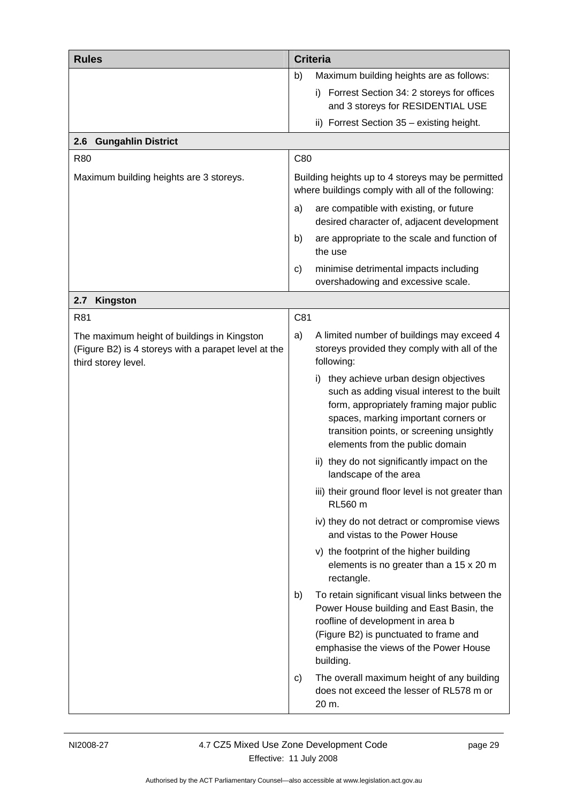<span id="page-32-0"></span>

| <b>Rules</b>                                                                                                               | <b>Criteria</b>                                                                                                                                                                                                                                         |
|----------------------------------------------------------------------------------------------------------------------------|---------------------------------------------------------------------------------------------------------------------------------------------------------------------------------------------------------------------------------------------------------|
|                                                                                                                            | Maximum building heights are as follows:<br>b)                                                                                                                                                                                                          |
|                                                                                                                            | i) Forrest Section 34: 2 storeys for offices                                                                                                                                                                                                            |
|                                                                                                                            | and 3 storeys for RESIDENTIAL USE                                                                                                                                                                                                                       |
| <b>Gungahlin District</b><br>2.6                                                                                           | ii) Forrest Section 35 - existing height.                                                                                                                                                                                                               |
| <b>R80</b>                                                                                                                 | C80                                                                                                                                                                                                                                                     |
| Maximum building heights are 3 storeys.                                                                                    | Building heights up to 4 storeys may be permitted                                                                                                                                                                                                       |
|                                                                                                                            | where buildings comply with all of the following:                                                                                                                                                                                                       |
|                                                                                                                            | are compatible with existing, or future<br>a)<br>desired character of, adjacent development                                                                                                                                                             |
|                                                                                                                            | b)<br>are appropriate to the scale and function of<br>the use                                                                                                                                                                                           |
|                                                                                                                            | minimise detrimental impacts including<br>C)<br>overshadowing and excessive scale.                                                                                                                                                                      |
| 2.7<br><b>Kingston</b>                                                                                                     |                                                                                                                                                                                                                                                         |
| R81                                                                                                                        | C81                                                                                                                                                                                                                                                     |
| The maximum height of buildings in Kingston<br>(Figure B2) is 4 storeys with a parapet level at the<br>third storey level. | A limited number of buildings may exceed 4<br>a)<br>storeys provided they comply with all of the<br>following:                                                                                                                                          |
|                                                                                                                            | they achieve urban design objectives<br>such as adding visual interest to the built<br>form, appropriately framing major public<br>spaces, marking important corners or<br>transition points, or screening unsightly<br>elements from the public domain |
|                                                                                                                            | ii) they do not significantly impact on the<br>landscape of the area                                                                                                                                                                                    |
|                                                                                                                            | iii) their ground floor level is not greater than<br><b>RL560 m</b>                                                                                                                                                                                     |
|                                                                                                                            | iv) they do not detract or compromise views<br>and vistas to the Power House                                                                                                                                                                            |
|                                                                                                                            | v) the footprint of the higher building<br>elements is no greater than a 15 x 20 m<br>rectangle.                                                                                                                                                        |
|                                                                                                                            | To retain significant visual links between the<br>b)<br>Power House building and East Basin, the<br>roofline of development in area b<br>(Figure B2) is punctuated to frame and<br>emphasise the views of the Power House<br>building.                  |
|                                                                                                                            | The overall maximum height of any building<br>C)<br>does not exceed the lesser of RL578 m or<br>20 m.                                                                                                                                                   |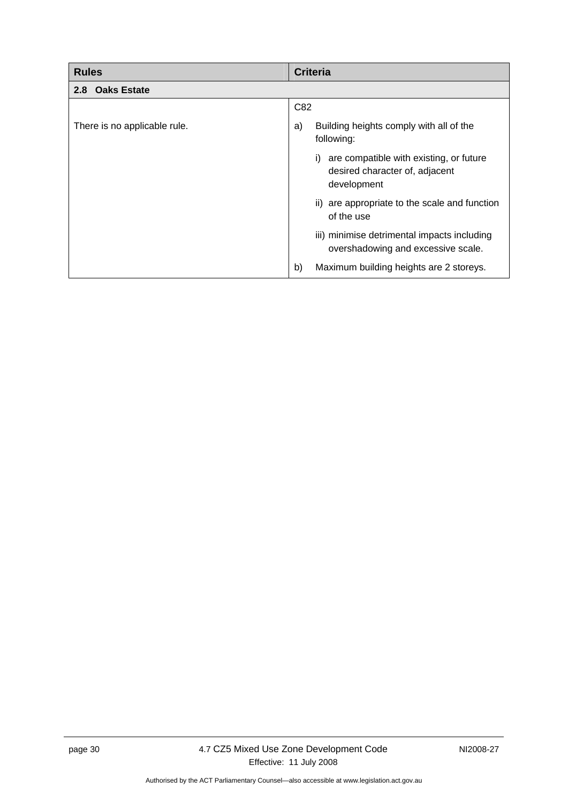<span id="page-33-0"></span>

| <b>Rules</b>                 | <b>Criteria</b>                                                                                |
|------------------------------|------------------------------------------------------------------------------------------------|
| 2.8 Oaks Estate              |                                                                                                |
|                              | C82                                                                                            |
| There is no applicable rule. | Building heights comply with all of the<br>a)<br>following:                                    |
|                              | are compatible with existing, or future<br>i)<br>desired character of, adjacent<br>development |
|                              | are appropriate to the scale and function<br>ii)<br>of the use                                 |
|                              | iii) minimise detrimental impacts including<br>overshadowing and excessive scale.              |
|                              | Maximum building heights are 2 storeys.<br>b)                                                  |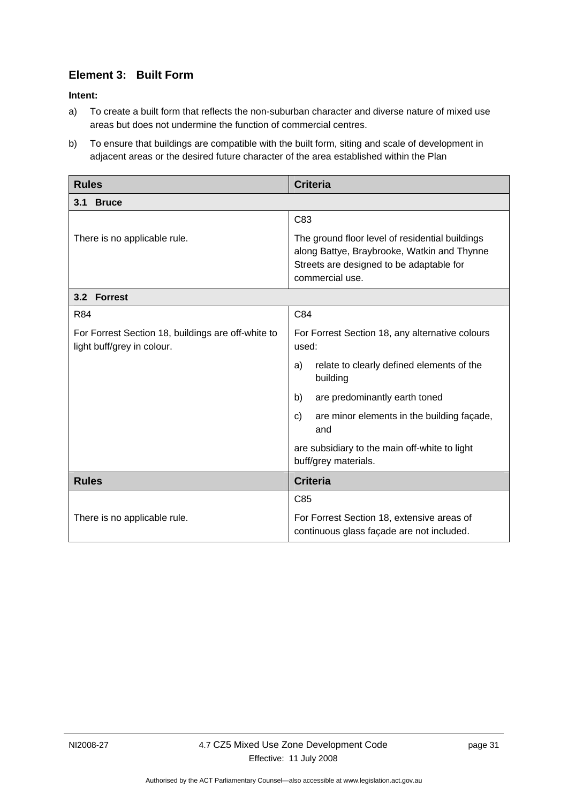## <span id="page-34-0"></span>**Element 3: Built Form**

- a) To create a built form that reflects the non-suburban character and diverse nature of mixed use areas but does not undermine the function of commercial centres.
- b) To ensure that buildings are compatible with the built form, siting and scale of development in adjacent areas or the desired future character of the area established within the Plan

| <b>Rules</b>                                                                     | <b>Criteria</b>                                                                                                                                               |
|----------------------------------------------------------------------------------|---------------------------------------------------------------------------------------------------------------------------------------------------------------|
| <b>Bruce</b><br>3.1                                                              |                                                                                                                                                               |
|                                                                                  | C83                                                                                                                                                           |
| There is no applicable rule.                                                     | The ground floor level of residential buildings<br>along Battye, Braybrooke, Watkin and Thynne<br>Streets are designed to be adaptable for<br>commercial use. |
| 3.2 Forrest                                                                      |                                                                                                                                                               |
| <b>R84</b>                                                                       | C84                                                                                                                                                           |
| For Forrest Section 18, buildings are off-white to<br>light buff/grey in colour. | For Forrest Section 18, any alternative colours<br>used:                                                                                                      |
|                                                                                  | relate to clearly defined elements of the<br>a)<br>building                                                                                                   |
|                                                                                  | are predominantly earth toned<br>b)                                                                                                                           |
|                                                                                  | are minor elements in the building façade,<br>C)<br>and                                                                                                       |
|                                                                                  | are subsidiary to the main off-white to light<br>buff/grey materials.                                                                                         |
| <b>Rules</b>                                                                     | <b>Criteria</b>                                                                                                                                               |
|                                                                                  | C85                                                                                                                                                           |
| There is no applicable rule.                                                     | For Forrest Section 18, extensive areas of<br>continuous glass façade are not included.                                                                       |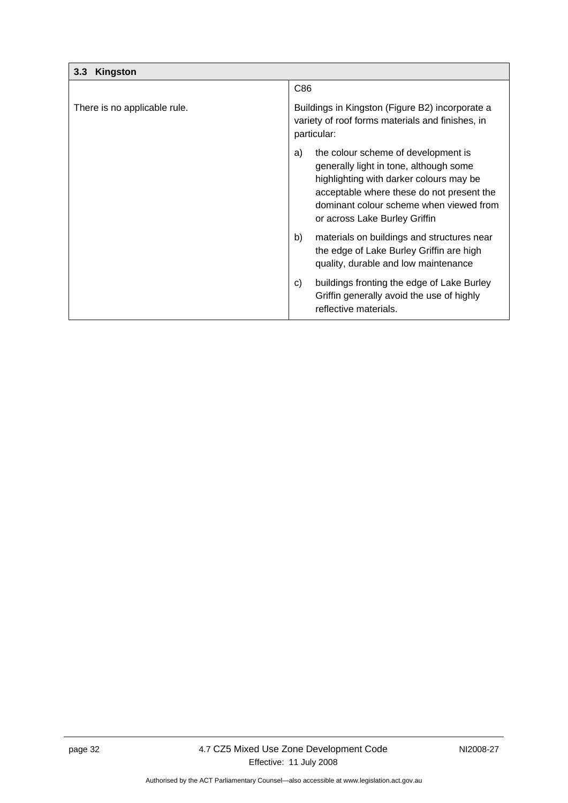<span id="page-35-0"></span>

| Kingston<br>3.3              |                                                                                                                                                                                                                                                         |
|------------------------------|---------------------------------------------------------------------------------------------------------------------------------------------------------------------------------------------------------------------------------------------------------|
|                              | C86                                                                                                                                                                                                                                                     |
| There is no applicable rule. | Buildings in Kingston (Figure B2) incorporate a<br>variety of roof forms materials and finishes, in<br>particular:                                                                                                                                      |
|                              | the colour scheme of development is<br>a)<br>generally light in tone, although some<br>highlighting with darker colours may be<br>acceptable where these do not present the<br>dominant colour scheme when viewed from<br>or across Lake Burley Griffin |
|                              | b)<br>materials on buildings and structures near<br>the edge of Lake Burley Griffin are high<br>quality, durable and low maintenance                                                                                                                    |
|                              | buildings fronting the edge of Lake Burley<br>C)<br>Griffin generally avoid the use of highly<br>reflective materials.                                                                                                                                  |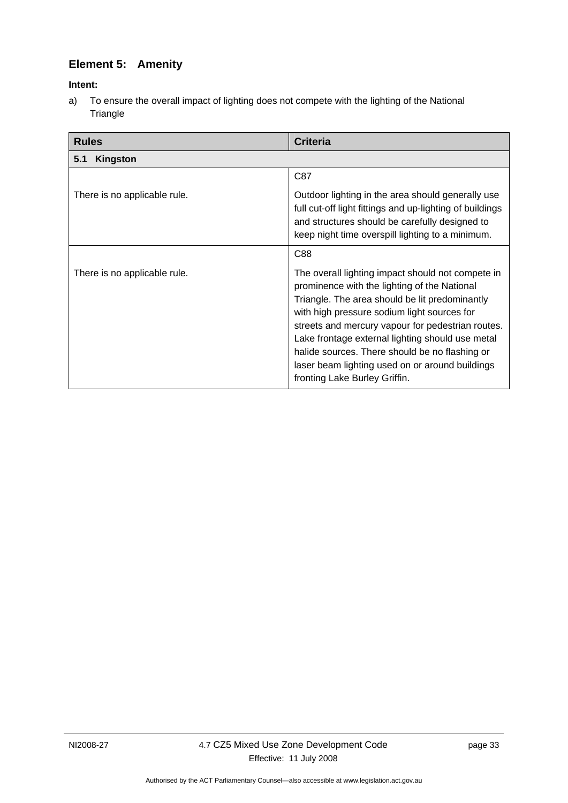## <span id="page-36-0"></span>**Element 5: Amenity**

#### **Intent:**

a) To ensure the overall impact of lighting does not compete with the lighting of the National **Triangle** 

| <b>Rules</b>                 | <b>Criteria</b>                                                                                                                                                                                                                                                                                                                                                                                                                                   |
|------------------------------|---------------------------------------------------------------------------------------------------------------------------------------------------------------------------------------------------------------------------------------------------------------------------------------------------------------------------------------------------------------------------------------------------------------------------------------------------|
| <b>Kingston</b><br>5.1       |                                                                                                                                                                                                                                                                                                                                                                                                                                                   |
|                              | C87                                                                                                                                                                                                                                                                                                                                                                                                                                               |
| There is no applicable rule. | Outdoor lighting in the area should generally use<br>full cut-off light fittings and up-lighting of buildings<br>and structures should be carefully designed to<br>keep night time overspill lighting to a minimum.                                                                                                                                                                                                                               |
|                              | C88                                                                                                                                                                                                                                                                                                                                                                                                                                               |
| There is no applicable rule. | The overall lighting impact should not compete in<br>prominence with the lighting of the National<br>Triangle. The area should be lit predominantly<br>with high pressure sodium light sources for<br>streets and mercury vapour for pedestrian routes.<br>Lake frontage external lighting should use metal<br>halide sources. There should be no flashing or<br>laser beam lighting used on or around buildings<br>fronting Lake Burley Griffin. |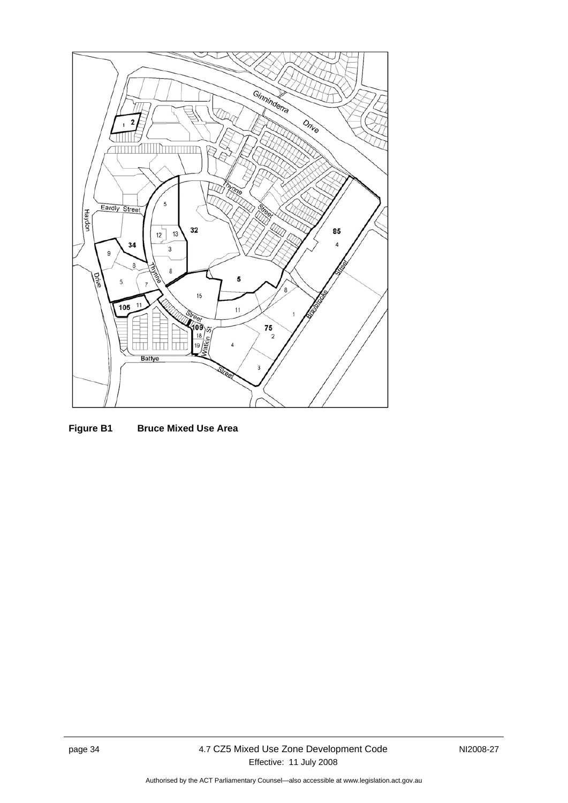

**Figure B1 Bruce Mixed Use Area**